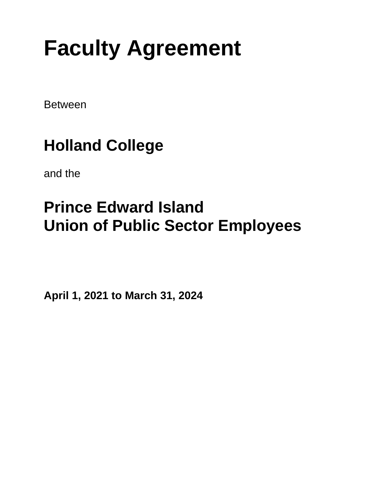# **Faculty Agreement**

Between

## **Holland College**

and the

## **Prince Edward Island Union of Public Sector Employees**

**April 1, 2021 to March 31, 2024**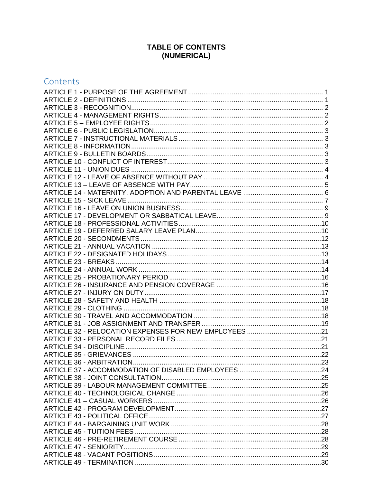## TABLE OF CONTENTS (NUMERICAL)

## Contents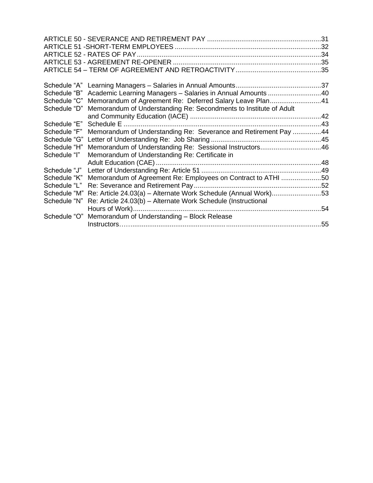| Schedule "B" | Academic Learning Managers - Salaries in Annual Amounts 40        |     |
|--------------|-------------------------------------------------------------------|-----|
| Schedule "C" | Memorandum of Agreement Re: Deferred Salary Leave Plan41          |     |
| Schedule "D" | Memorandum of Understanding Re: Secondments to Institute of Adult |     |
|              |                                                                   |     |
| Schedule "E" |                                                                   |     |
| Schedule "F" | Memorandum of Understanding Re: Severance and Retirement Pay 44   |     |
| Schedule "G" |                                                                   |     |
| Schedule "H" | Memorandum of Understanding Re: Sessional Instructors46           |     |
| Schedule "I" | Memorandum of Understanding Re: Certificate in                    |     |
|              |                                                                   |     |
| Schedule "J" |                                                                   |     |
| Schedule "K" | Memorandum of Agreement Re: Employees on Contract to ATHI 50      |     |
| Schedule "L" |                                                                   |     |
| Schedule "M" | Re: Article 24.03(a) - Alternate Work Schedule (Annual Work)53    |     |
| Schedule "N" | Re: Article 24.03(b) - Alternate Work Schedule (Instructional     |     |
|              |                                                                   | .54 |
| Schedule "O" | Memorandum of Understanding - Block Release                       |     |
|              |                                                                   |     |
|              |                                                                   |     |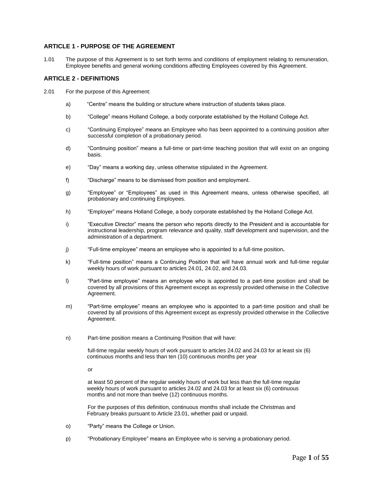#### <span id="page-5-0"></span>**ARTICLE 1 - PURPOSE OF THE AGREEMENT**

1.01 The purpose of this Agreement is to set forth terms and conditions of employment relating to remuneration, Employee benefits and general working conditions affecting Employees covered by this Agreement.

#### <span id="page-5-1"></span>**ARTICLE 2 - DEFINITIONS**

- 2.01 For the purpose of this Agreement:
	- a) "Centre" means the building or structure where instruction of students takes place.
	- b) "College" means Holland College, a body corporate established by the Holland College Act.
	- c) "Continuing Employee" means an Employee who has been appointed to a continuing position after successful completion of a probationary period.
	- d) "Continuing position" means a full-time or part-time teaching position that will exist on an ongoing basis.
	- e) "Day" means a working day, unless otherwise stipulated in the Agreement.
	- f) "Discharge" means to be dismissed from position and employment.
	- g) "Employee" or "Employees" as used in this Agreement means, unless otherwise specified, all probationary and continuing Employees.
	- h) "Employer" means Holland College, a body corporate established by the Holland College Act.
	- i) "Executive Director" means the person who reports directly to the President and is accountable for instructional leadership, program relevance and quality, staff development and supervision, and the administration of a department.
	- j) "Full-time employee" means an employee who is appointed to a full-time position**.**
	- k) "Full-time position" means a Continuing Position that will have annual work and full-time regular weekly hours of work pursuant to articles 24.01, 24.02, and 24.03.
	- l) "Part-time employee" means an employee who is appointed to a part-time position and shall be covered by all provisions of this Agreement except as expressly provided otherwise in the Collective Agreement.
	- m) "Part-time employee" means an employee who is appointed to a part-time position and shall be covered by all provisions of this Agreement except as expressly provided otherwise in the Collective Agreement.
	- n) Part-time position means a Continuing Position that will have:

full-time regular weekly hours of work pursuant to articles 24.02 and 24.03 for at least six (6) continuous months and less than ten (10) continuous months per year

or

at least 50 percent of the regular weekly hours of work but less than the full-time regular weekly hours of work pursuant to articles 24.02 and 24.03 for at least six (6) continuous months and not more than twelve (12) continuous months.

For the purposes of this definition, continuous months shall include the Christmas and February breaks pursuant to Article 23.01, whether paid or unpaid.

- o) "Party" means the College or Union.
- p) "Probationary Employee" means an Employee who is serving a probationary period.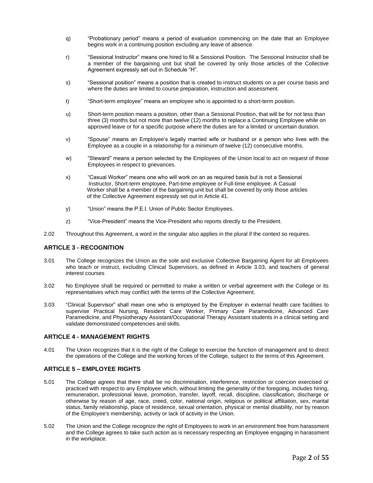- q) "Probationary period" means a period of evaluation commencing on the date that an Employee begins work in a continuing position excluding any leave of absence.
- r) "Sessional Instructor" means one hired to fill a Sessional Position. The Sessional Instructor shall be a member of the bargaining unit but shall be covered by only those articles of the Collective Agreement expressly set out in Schedule "H".
- s) "Sessional position" means a position that is created to instruct students on a per course basis and where the duties are limited to course preparation, instruction and assessment.
- t) "Short-term employee" means an employee who is appointed to a short-term position.
- u) Short-term position means a position, other than a Sessional Position, that will be for not less than three (3) months but not more than twelve (12) months to replace a Continuing Employee while on approved leave or for a specific purpose where the duties are for a limited or uncertain duration.
- v) "Spouse" means an Employee's legally married wife or husband or a person who lives with the Employee as a couple in a relationship for a minimum of twelve (12) consecutive months.
- w) "Steward" means a person selected by the Employees of the Union local to act on request of those Employees in respect to grievances.
- x) "Casual Worker" means one who will work on an as required basis but is not a Sessional Instructor, Short-term employee, Part-time employee or Full-time employee. A Casual Worker shall be a member of the bargaining unit but shall be covered by only those articles of the Collective Agreement expressly set out in Article 41.
- y) "Union" means the P.E.I. Union of Public Sector Employees.
- z) "Vice-President" means the Vice-President who reports directly to the President.
- 2.02 Throughout this Agreement, a word in the singular also applies in the plural if the context so requires.

#### <span id="page-6-0"></span>**ARTICLE 3 - RECOGNITION**

- 3.01 The College recognizes the Union as the sole and exclusive Collective Bargaining Agent for all Employees who teach or instruct, excluding Clinical Supervisors, as defined in Article 3.03, and teachers of general interest courses
- 3.02 No Employee shall be required or permitted to make a written or verbal agreement with the College or its representatives which may conflict with the terms of the Collective Agreement.
- 3.03 "Clinical Supervisor" shall mean one who is employed by the Employer in external health care facilities to supervise Practical Nursing, Resident Care Worker, Primary Care Paramedicine, Advanced Care Paramedicine, and Physiotherapy Assistant/Occupational Therapy Assistant students in a clinical setting and validate demonstrated competencies and skills.

#### <span id="page-6-1"></span>**ARTICLE 4 - MANAGEMENT RIGHTS**

4.01 The Union recognizes that it is the right of the College to exercise the function of management and to direct the operations of the College and the working forces of the College, subject to the terms of this Agreement.

#### <span id="page-6-2"></span>**ARTICLE 5 – EMPLOYEE RIGHTS**

- 5.01 The College agrees that there shall be no discrimination, interference, restriction or coercion exercised or practiced with respect to any Employee which, without limiting the generality of the foregoing, includes hiring, remuneration, professional leave, promotion, transfer, layoff, recall, discipline, classification, discharge or otherwise by reason of age, race, creed, color, national origin, religious or political affiliation, sex, marital status, family relationship, place of residence, sexual orientation, physical or mental disability, nor by reason of the Employee's membership, activity or lack of activity in the Union.
- 5.02 The Union and the College recognize the right of Employees to work in an environment free from harassment and the College agrees to take such action as is necessary respecting an Employee engaging in harassment in the workplace.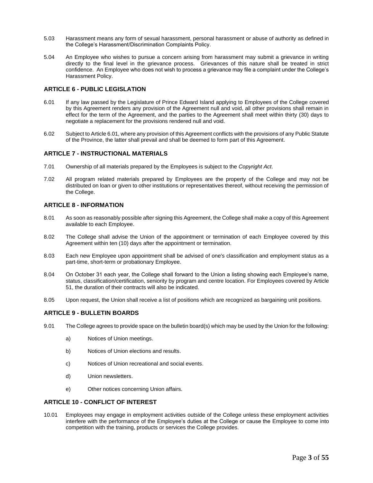- 5.03 Harassment means any form of sexual harassment, personal harassment or abuse of authority as defined in the College's Harassment/Discrimination Complaints Policy.
- 5.04 An Employee who wishes to pursue a concern arising from harassment may submit a grievance in writing directly to the final level in the grievance process. Grievances of this nature shall be treated in strict confidence. An Employee who does not wish to process a grievance may file a complaint under the College's Harassment Policy.

#### <span id="page-7-0"></span>**ARTICLE 6 - PUBLIC LEGISLATION**

- 6.01 If any law passed by the Legislature of Prince Edward Island applying to Employees of the College covered by this Agreement renders any provision of the Agreement null and void, all other provisions shall remain in effect for the term of the Agreement, and the parties to the Agreement shall meet within thirty (30) days to negotiate a replacement for the provisions rendered null and void.
- 6.02 Subject to Article 6.01, where any provision of this Agreement conflicts with the provisions of any Public Statute of the Province, the latter shall prevail and shall be deemed to form part of this Agreement.

#### <span id="page-7-1"></span>**ARTICLE 7 - INSTRUCTIONAL MATERIALS**

- 7.01 Ownership of all materials prepared by the Employees is subject to the *Copyright Act*.
- 7.02 All program related materials prepared by Employees are the property of the College and may not be distributed on loan or given to other institutions or representatives thereof, without receiving the permission of the College.

#### <span id="page-7-2"></span>**ARTICLE 8 - INFORMATION**

- 8.01 As soon as reasonably possible after signing this Agreement, the College shall make a copy of this Agreement available to each Employee.
- 8.02 The College shall advise the Union of the appointment or termination of each Employee covered by this Agreement within ten (10) days after the appointment or termination.
- 8.03 Each new Employee upon appointment shall be advised of one's classification and employment status as a part-time, short-term or probationary Employee.
- 8.04 On October 31 each year, the College shall forward to the Union a listing showing each Employee's name, status, classification/certification, seniority by program and centre location. For Employees covered by Article 51, the duration of their contracts will also be indicated.
- 8.05 Upon request, the Union shall receive a list of positions which are recognized as bargaining unit positions.

#### <span id="page-7-3"></span>**ARTICLE 9 - BULLETIN BOARDS**

- 9.01 The College agrees to provide space on the bulletin board(s) which may be used by the Union for the following:
	- a) Notices of Union meetings.
	- b) Notices of Union elections and results.
	- c) Notices of Union recreational and social events.
	- d) Union newsletters.
	- e) Other notices concerning Union affairs.

#### <span id="page-7-4"></span>**ARTICLE 10 - CONFLICT OF INTEREST**

10.01 Employees may engage in employment activities outside of the College unless these employment activities interfere with the performance of the Employee's duties at the College or cause the Employee to come into competition with the training, products or services the College provides.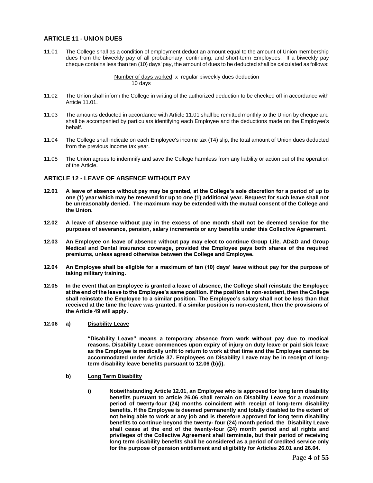#### <span id="page-8-0"></span>**ARTICLE 11 - UNION DUES**

11.01 The College shall as a condition of employment deduct an amount equal to the amount of Union membership dues from the biweekly pay of all probationary, continuing, and short-term Employees. If a biweekly pay cheque contains less than ten (10) days' pay, the amount of dues to be deducted shall be calculated as follows:

> Number of days worked x regular biweekly dues deduction 10 days

- 11.02 The Union shall inform the College in writing of the authorized deduction to be checked off in accordance with Article 11.01.
- 11.03 The amounts deducted in accordance with Article 11.01 shall be remitted monthly to the Union by cheque and shall be accompanied by particulars identifying each Employee and the deductions made on the Employee's behalf.
- 11.04 The College shall indicate on each Employee's income tax (T4) slip, the total amount of Union dues deducted from the previous income tax year.
- 11.05 The Union agrees to indemnify and save the College harmless from any liability or action out of the operation of the Article.

#### <span id="page-8-1"></span>**ARTICLE 12 - LEAVE OF ABSENCE WITHOUT PAY**

- **12.01 A leave of absence without pay may be granted, at the College's sole discretion for a period of up to one (1) year which may be renewed for up to one (1) additional year. Request for such leave shall not be unreasonably denied. The maximum may be extended with the mutual consent of the College and the Union.**
- **12.02 A leave of absence without pay in the excess of one month shall not be deemed service for the purposes of severance, pension, salary increments or any benefits under this Collective Agreement.**
- **12.03 An Employee on leave of absence without pay may elect to continue Group Life, AD&D and Group Medical and Dental insurance coverage, provided the Employee pays both shares of the required premiums, unless agreed otherwise between the College and Employee.**
- **12.04 An Employee shall be eligible for a maximum of ten (10) days' leave without pay for the purpose of taking military training.**
- **12.05 In the event that an Employee is granted a leave of absence, the College shall reinstate the Employee at the end of the leave to the Employee's same position. If the position is non-existent, then the College shall reinstate the Employee to a similar position. The Employee's salary shall not be less than that received at the time the leave was granted. If a similar position is non-existent, then the provisions of the Article 49 will apply.**

#### **12.06 a) Disability Leave**

**"Disability Leave" means a temporary absence from work without pay due to medical reasons. Disability Leave commences upon expiry of injury on duty leave or paid sick leave as the Employee is medically unfit to return to work at that time and the Employee cannot be accommodated under Article 37. Employees on Disability Leave may be in receipt of longterm disability leave benefits pursuant to 12.06 (b)(i).** 

- **b) Long Term Disability**
	- **i) Notwithstanding Article 12.01, an Employee who is approved for long term disability benefits pursuant to article 26.06 shall remain on Disability Leave for a maximum period of twenty-four (24) months coincident with receipt of long-term disability benefits. If the Employee is deemed permanently and totally disabled to the extent of not being able to work at any job and is therefore approved for long term disability benefits to continue beyond the twenty- four (24) month period, the Disability Leave shall cease at the end of the twenty-four (24) month period and all rights and privileges of the Collective Agreement shall terminate, but their period of receiving long term disability benefits shall be considered as a period of credited service only for the purpose of pension entitlement and eligibility for Articles 26.01 and 26.04.**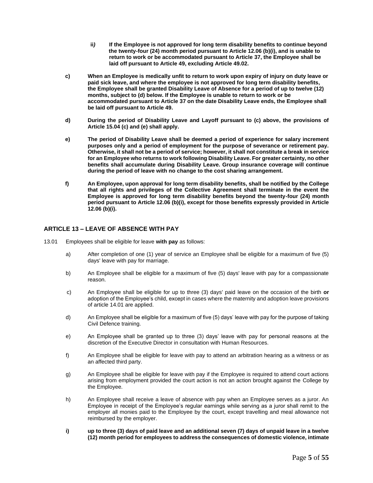- **ii***)* **If the Employee is not approved for long term disability benefits to continue beyond the twenty-four (24) month period pursuant to Article 12.06 (b)(i), and is unable to return to work or be accommodated pursuant to Article 37, the Employee shall be laid off pursuant to Article 49, excluding Article 49.02.**
- **c) When an Employee is medically unfit to return to work upon expiry of injury on duty leave or paid sick leave, and where the employee is not approved for long term disability benefits, the Employee shall be granted Disability Leave of Absence for a period of up to twelve (12) months, subject to (d) below. If the Employee is unable to return to work or be accommodated pursuant to Article 37 on the date Disability Leave ends, the Employee shall be laid off pursuant to Article 49.**
- **d) During the period of Disability Leave and Layoff pursuant to (c) above, the provisions of Article 15.04 (c) and (e) shall apply.**
- **e) The period of Disability Leave shall be deemed a period of experience for salary increment purposes only and a period of employment for the purpose of severance or retirement pay. Otherwise, it shall not be a period of service; however, it shall not constitute a break in service for an Employee who returns to work following Disability Leave. For greater certainty, no other benefits shall accumulate during Disability Leave. Group insurance coverage will continue during the period of leave with no change to the cost sharing arrangement.**
- **f) An Employee, upon approval for long term disability benefits, shall be notified by the College that all rights and privileges of the Collective Agreement shall terminate in the event the Employee is approved for long term disability benefits beyond the twenty-four (24) month period pursuant to Article 12.06 (b)(i), except for those benefits expressly provided in Article 12.06 (b)(i).**

#### <span id="page-9-0"></span>**ARTICLE 13 – LEAVE OF ABSENCE WITH PAY**

- 13.01 Employees shall be eligible for leave **with pay** as follows:
	- a) After completion of one (1) year of service an Employee shall be eligible for a maximum of five (5) days' leave with pay for marriage.
	- b) An Employee shall be eligible for a maximum of five (5) days' leave with pay for a compassionate reason.
	- c) An Employee shall be eligible for up to three (3) days' paid leave on the occasion of the birth **or**  adoption of the Employee's child, except in cases where the maternity and adoption leave provisions of article 14.01 are applied.
	- d) An Employee shall be eligible for a maximum of five (5) days' leave with pay for the purpose of taking Civil Defence training.
	- e) An Employee shall be granted up to three (3) days' leave with pay for personal reasons at the discretion of the Executive Director in consultation with Human Resources.
	- f) An Employee shall be eligible for leave with pay to attend an arbitration hearing as a witness or as an affected third party.
	- g) An Employee shall be eligible for leave with pay if the Employee is required to attend court actions arising from employment provided the court action is not an action brought against the College by the Employee.
	- h) An Employee shall receive a leave of absence with pay when an Employee serves as a juror. An Employee in receipt of the Employee's regular earnings while serving as a juror shall remit to the employer all monies paid to the Employee by the court, except travelling and meal allowance not reimbursed by the employer.
	- **i) up to three (3) days of paid leave and an additional seven (7) days of unpaid leave in a twelve (12) month period for employees to address the consequences of domestic violence, intimate**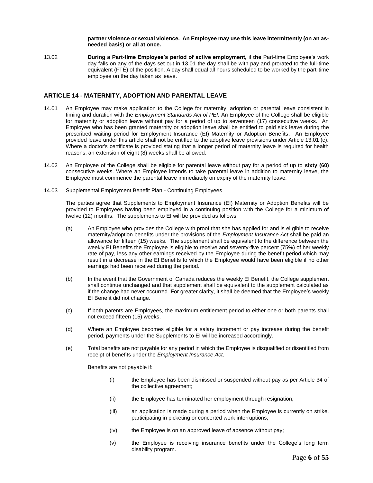**partner violence or sexual violence. An Employee may use this leave intermittently (on an asneeded basis) or all at once.**

13.02 **During a Part-time Employee's period of active employment,** if **the** Part-time Employee's work day falls on any of the days set out in 13.01 the day shall be with pay and prorated to the full-time equivalent (FTE) of the position. A day shall equal all hours scheduled to be worked by the part-time employee on the day taken as leave.

#### <span id="page-10-0"></span>**ARTICLE 14 - MATERNITY, ADOPTION AND PARENTAL LEAVE**

- 14.01 An Employee may make application to the College for maternity, adoption or parental leave consistent in timing and duration with the *Employment Standards Act of PEI.* An Employee of the College shall be eligible for maternity or adoption leave without pay for a period of up to seventeen (17) consecutive weeks. An Employee who has been granted maternity or adoption leave shall be entitled to paid sick leave during the prescribed waiting period for Employment Insurance (EI) Maternity or Adoption Benefits. An Employee provided leave under this article shall not be entitled to the adoptive leave provisions under Article 13.01 (c). Where a doctor's certificate is provided stating that a longer period of maternity leave is required for health reasons, an extension of eight (8) weeks shall be allowed.
- 14.02 An Employee of the College shall be eligible for parental leave without pay for a period of up to **sixty (60)**  consecutive weeks. Where an Employee intends to take parental leave in addition to maternity leave, the Employee must commence the parental leave immediately on expiry of the maternity leave.
- 14.03 Supplemental Employment Benefit Plan Continuing Employees

The parties agree that Supplements to Employment Insurance (EI) Maternity or Adoption Benefits will be provided to Employees having been employed in a continuing position with the College for a minimum of twelve (12) months. The supplements to EI will be provided as follows:

- (a) An Employee who provides the College with proof that she has applied for and is eligible to receive maternity/adoption benefits under the provisions of the *Employment Insurance Act* shall be paid an allowance for fifteen (15) weeks. The supplement shall be equivalent to the difference between the weekly EI Benefits the Employee is eligible to receive and seventy-five percent (75%) of her weekly rate of pay, less any other earnings received by the Employee during the benefit period which may result in a decrease in the EI Benefits to which the Employee would have been eligible if no other earnings had been received during the period.
- (b) In the event that the Government of Canada reduces the weekly EI Benefit, the College supplement shall continue unchanged and that supplement shall be equivalent to the supplement calculated as if the change had never occurred. For greater clarity, it shall be deemed that the Employee's weekly EI Benefit did not change.
- (c) If both parents are Employees, the maximum entitlement period to either one or both parents shall not exceed fifteen (15) weeks.
- (d) Where an Employee becomes eligible for a salary increment or pay increase during the benefit period, payments under the Supplements to EI will be increased accordingly.
- (e) Total benefits are not payable for any period in which the Employee is disqualified or disentitled from receipt of benefits under the *Employment Insurance Act*.

Benefits are not payable if:

- (i) the Employee has been dismissed or suspended without pay as per Article 34 of the collective agreement;
- (ii) the Employee has terminated her employment through resignation;
- (iii) an application is made during a period when the Employee is currently on strike, participating in picketing or concerted work interruptions;
- (iv) the Employee is on an approved leave of absence without pay;
- (v) the Employee is receiving insurance benefits under the College's long term disability program.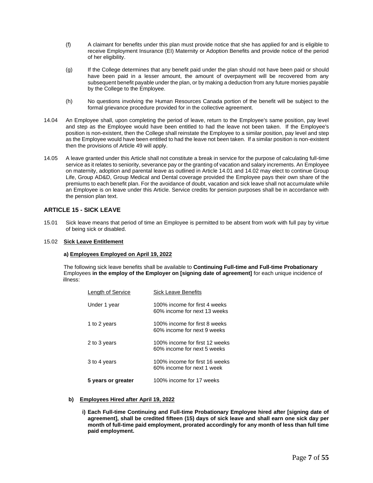- (f) A claimant for benefits under this plan must provide notice that she has applied for and is eligible to receive Employment Insurance (EI) Maternity or Adoption Benefits and provide notice of the period of her eligibility.
- (g) If the College determines that any benefit paid under the plan should not have been paid or should have been paid in a lesser amount, the amount of overpayment will be recovered from any subsequent benefit payable under the plan, or by making a deduction from any future monies payable by the College to the Employee.
- (h) No questions involving the Human Resources Canada portion of the benefit will be subject to the formal grievance procedure provided for in the collective agreement.
- 14.04 An Employee shall, upon completing the period of leave, return to the Employee's same position, pay level and step as the Employee would have been entitled to had the leave not been taken. If the Employee's position is non-existent, then the College shall reinstate the Employee to a similar position, pay level and step as the Employee would have been entitled to had the leave not been taken. If a similar position is non-existent then the provisions of Article 49 will apply.
- 14.05 A leave granted under this Article shall not constitute a break in service for the purpose of calculating full-time service as it relates to seniority, severance pay or the granting of vacation and salary increments. An Employee on maternity, adoption and parental leave as outlined in Article 14.01 and 14.02 may elect to continue Group Life, Group AD&D, Group Medical and Dental coverage provided the Employee pays their own share of the premiums to each benefit plan. For the avoidance of doubt, vacation and sick leave shall not accumulate while an Employee is on leave under this Article. Service credits for pension purposes shall be in accordance with the pension plan text.

#### <span id="page-11-0"></span>**ARTICLE 15 - SICK LEAVE**

15.01 Sick leave means that period of time an Employee is permitted to be absent from work with full pay by virtue of being sick or disabled.

#### 15.02 **Sick Leave Entitlement**

#### **a) Employees Employed on April 19, 2022**

 The following sick leave benefits shall be available to **Continuing Full-time and Full-time Probationary** Employees **in the employ of the Employer on [signing date of agreement]** for each unique incidence of illness:

| Length of Service  | Sick Leave Benefits                                           |
|--------------------|---------------------------------------------------------------|
| Under 1 year       | 100% income for first 4 weeks<br>60% income for next 13 weeks |
| 1 to 2 years       | 100% income for first 8 weeks<br>60% income for next 9 weeks  |
| 2 to 3 years       | 100% income for first 12 weeks<br>60% income for next 5 weeks |
| 3 to 4 years       | 100% income for first 16 weeks<br>60% income for next 1 week  |
| 5 years or greater | 100% income for 17 weeks                                      |

#### **b) Employees Hired after April 19, 2022**

**i) Each Full-time Continuing and Full-time Probationary Employee hired after [signing date of agreement], shall be credited fifteen (15) days of sick leave and shall earn one sick day per month of full-time paid employment, prorated accordingly for any month of less than full time paid employment.**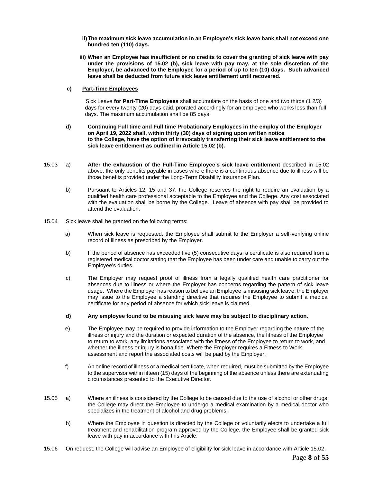- **ii)The maximum sick leave accumulation in an Employee's sick leave bank shall not exceed one hundred ten (110) days.**
- **iii) When an Employee has insufficient or no credits to cover the granting of sick leave with pay under the provisions of 15.02 (b), sick leave with pay may, at the sole discretion of the Employer, be advanced to the Employee for a period of up to ten (10) days. Such advanced leave shall be deducted from future sick leave entitlement until recovered.**

#### **c) Part-Time Employees**

Sick Leave **for Part-Time Employees** shall accumulate on the basis of one and two thirds (1 2/3) days for every twenty (20) days paid, prorated accordingly for an employee who works less than full days. The maximum accumulation shall be 85 days.

- **d) Continuing Full time and Full time Probationary Employees in the employ of the Employer on April 19, 2022 shall, within thirty (30) days of signing upon written notice to the College, have the option of irrevocably transferring their sick leave entitlement to the sick leave entitlement as outlined in Article 15.02 (b).**
- 15.03 a) **After the exhaustion of the Full-Time Employee's sick leave entitlement** described in 15.02 above, the only benefits payable in cases where there is a continuous absence due to illness will be those benefits provided under the Long-Term Disability Insurance Plan.
	- b) Pursuant to Articles 12, 15 and 37, the College reserves the right to require an evaluation by a qualified health care professional acceptable to the Employee and the College. Any cost associated with the evaluation shall be borne by the College. Leave of absence with pay shall be provided to attend the evaluation.
- 15.04 Sick leave shall be granted on the following terms:
	- a) When sick leave is requested, the Employee shall submit to the Employer a self-verifying online record of illness as prescribed by the Employer.
	- b) If the period of absence has exceeded five (5) consecutive days, a certificate is also required from a registered medical doctor stating that the Employee has been under care and unable to carry out the Employee's duties.
	- c) The Employer may request proof of illness from a legally qualified health care practitioner for absences due to illness or where the Employer has concerns regarding the pattern of sick leave usage. Where the Employer has reason to believe an Employee is misusing sick leave, the Employer may issue to the Employee a standing directive that requires the Employee to submit a medical certificate for any period of absence for which sick leave is claimed.
	- **d) Any employee found to be misusing sick leave may be subject to disciplinary action.**
	- e) The Employee may be required to provide information to the Employer regarding the nature of the illness or injury and the duration or expected duration of the absence, the fitness of the Employee to return to work, any limitations associated with the fitness of the Employee to return to work, and whether the illness or injury is bona fide. Where the Employer requires a Fitness to Work assessment and report the associated costs will be paid by the Employer.
	- f) An online record of illness or a medical certificate, when required, must be submitted by the Employee to the supervisor within fifteen (15) days of the beginning of the absence unless there are extenuating circumstances presented to the Executive Director.
- 15.05 a) Where an illness is considered by the College to be caused due to the use of alcohol or other drugs, the College may direct the Employee to undergo a medical examination by a medical doctor who specializes in the treatment of alcohol and drug problems.
	- b) Where the Employee in question is directed by the College or voluntarily elects to undertake a full treatment and rehabilitation program approved by the College, the Employee shall be granted sick leave with pay in accordance with this Article.
- 15.06 On request, the College will advise an Employee of eligibility for sick leave in accordance with Article 15.02.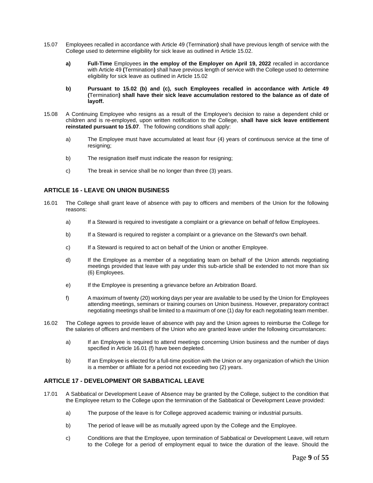- 15.07 Employees recalled in accordance with Article 49 (Termination**)** shall have previous length of service with the College used to determine eligibility for sick leave as outlined in Article 15.02.
	- **a) Full-Time** Employees **in the employ of the Employer on April 19, 2022** recalled in accordance with Article 49 **(**Termination**)** shall have previous length of service with the College used to determine eligibility for sick leave as outlined in Article 15.02
	- **b) Pursuant to 15.02 (b) and (c), such Employees recalled in accordance with Article 49 (**Termination**) shall have their sick leave accumulation restored to the balance as of date of layoff.**
- 15.08 A Continuing Employee who resigns as a result of the Employee's decision to raise a dependent child or children and is re-employed, upon written notification to the College, **shall have sick leave entitlement reinstated pursuant to 15.07**. The following conditions shall apply:
	- a) The Employee must have accumulated at least four (4) years of continuous service at the time of resigning;
	- b) The resignation itself must indicate the reason for resigning;
	- c) The break in service shall be no longer than three (3) years.

#### <span id="page-13-0"></span>**ARTICLE 16 - LEAVE ON UNION BUSINESS**

- 16.01 The College shall grant leave of absence with pay to officers and members of the Union for the following reasons:
	- a) If a Steward is required to investigate a complaint or a grievance on behalf of fellow Employees.
	- b) If a Steward is required to register a complaint or a grievance on the Steward's own behalf.
	- c) If a Steward is required to act on behalf of the Union or another Employee.
	- d) If the Employee as a member of a negotiating team on behalf of the Union attends negotiating meetings provided that leave with pay under this sub-article shall be extended to not more than six (6) Employees.
	- e) If the Employee is presenting a grievance before an Arbitration Board.
	- f) A maximum of twenty (20) working days per year are available to be used by the Union for Employees attending meetings, seminars or training courses on Union business. However, preparatory contract negotiating meetings shall be limited to a maximum of one (1) day for each negotiating team member.
- 16.02 The College agrees to provide leave of absence with pay and the Union agrees to reimburse the College for the salaries of officers and members of the Union who are granted leave under the following circumstances:
	- a) If an Employee is required to attend meetings concerning Union business and the number of days specified in Article 16.01 (f) have been depleted.
	- b) If an Employee is elected for a full-time position with the Union or any organization of which the Union is a member or affiliate for a period not exceeding two (2) years.

#### <span id="page-13-1"></span>**ARTICLE 17 - DEVELOPMENT OR SABBATICAL LEAVE**

- 17.01 A Sabbatical or Development Leave of Absence may be granted by the College, subject to the condition that the Employee return to the College upon the termination of the Sabbatical or Development Leave provided:
	- a) The purpose of the leave is for College approved academic training or industrial pursuits.
	- b) The period of leave will be as mutually agreed upon by the College and the Employee.
	- c) Conditions are that the Employee, upon termination of Sabbatical or Development Leave, will return to the College for a period of employment equal to twice the duration of the leave. Should the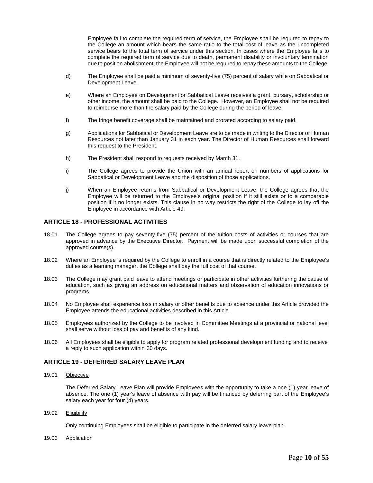Employee fail to complete the required term of service, the Employee shall be required to repay to the College an amount which bears the same ratio to the total cost of leave as the uncompleted service bears to the total term of service under this section. In cases where the Employee fails to complete the required term of service due to death, permanent disability or involuntary termination due to position abolishment, the Employee will not be required to repay these amounts to the College.

- d) The Employee shall be paid a minimum of seventy-five (75) percent of salary while on Sabbatical or Development Leave.
- e) Where an Employee on Development or Sabbatical Leave receives a grant, bursary, scholarship or other income, the amount shall be paid to the College. However, an Employee shall not be required to reimburse more than the salary paid by the College during the period of leave.
- f) The fringe benefit coverage shall be maintained and prorated according to salary paid.
- g) Applications for Sabbatical or Development Leave are to be made in writing to the Director of Human Resources not later than January 31 in each year. The Director of Human Resources shall forward this request to the President.
- h) The President shall respond to requests received by March 31.
- i) The College agrees to provide the Union with an annual report on numbers of applications for Sabbatical or Development Leave and the disposition of those applications.
- j) When an Employee returns from Sabbatical or Development Leave, the College agrees that the Employee will be returned to the Employee's original position if it still exists or to a comparable position if it no longer exists. This clause in no way restricts the right of the College to lay off the Employee in accordance with Article 49.

#### <span id="page-14-0"></span>**ARTICLE 18 - PROFESSIONAL ACTIVITIES**

- 18.01 The College agrees to pay seventy-five (75) percent of the tuition costs of activities or courses that are approved in advance by the Executive Director. Payment will be made upon successful completion of the approved course(s).
- 18.02 Where an Employee is required by the College to enroll in a course that is directly related to the Employee's duties as a learning manager, the College shall pay the full cost of that course.
- 18.03 The College may grant paid leave to attend meetings or participate in other activities furthering the cause of education, such as giving an address on educational matters and observation of education innovations or programs.
- 18.04 No Employee shall experience loss in salary or other benefits due to absence under this Article provided the Employee attends the educational activities described in this Article.
- 18.05 Employees authorized by the College to be involved in Committee Meetings at a provincial or national level shall serve without loss of pay and benefits of any kind.
- 18.06 All Employees shall be eligible to apply for program related professional development funding and to receive a reply to such application within 30 days.

#### <span id="page-14-1"></span>**ARTICLE 19 - DEFERRED SALARY LEAVE PLAN**

19.01 Objective

The Deferred Salary Leave Plan will provide Employees with the opportunity to take a one (1) year leave of absence. The one (1) year's leave of absence with pay will be financed by deferring part of the Employee's salary each year for four (4) years.

19.02 Eligibility

Only continuing Employees shall be eligible to participate in the deferred salary leave plan.

19.03 Application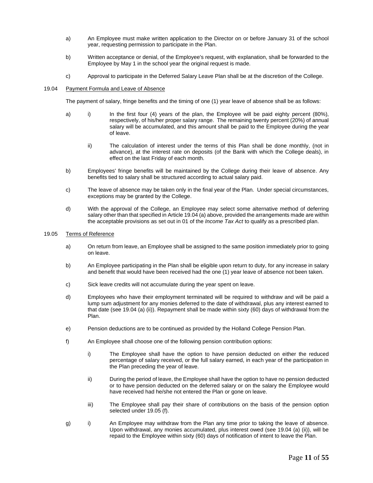- a) An Employee must make written application to the Director on or before January 31 of the school year, requesting permission to participate in the Plan.
- b) Written acceptance or denial, of the Employee's request, with explanation, shall be forwarded to the Employee by May 1 in the school year the original request is made.
- c) Approval to participate in the Deferred Salary Leave Plan shall be at the discretion of the College.

#### 19.04 Payment Formula and Leave of Absence

The payment of salary, fringe benefits and the timing of one (1) year leave of absence shall be as follows:

- a) i) In the first four (4) years of the plan, the Employee will be paid eighty percent (80%), respectively, of his/her proper salary range. The remaining twenty percent (20%) of annual salary will be accumulated, and this amount shall be paid to the Employee during the year of leave.
	- ii) The calculation of interest under the terms of this Plan shall be done monthly, (not in advance), at the interest rate on deposits (of the Bank with which the College deals), in effect on the last Friday of each month.
- b) Employees' fringe benefits will be maintained by the College during their leave of absence. Any benefits tied to salary shall be structured according to actual salary paid.
- c) The leave of absence may be taken only in the final year of the Plan. Under special circumstances, exceptions may be granted by the College.
- d) With the approval of the College, an Employee may select some alternative method of deferring salary other than that specified in Article 19.04 (a) above, provided the arrangements made are within the acceptable provisions as set out in 01 of the *Income Tax Act* to qualify as a prescribed plan.

#### 19.05 Terms of Reference

- a) On return from leave, an Employee shall be assigned to the same position immediately prior to going on leave.
- b) An Employee participating in the Plan shall be eligible upon return to duty, for any increase in salary and benefit that would have been received had the one (1) year leave of absence not been taken.
- c) Sick leave credits will not accumulate during the year spent on leave.
- d) Employees who have their employment terminated will be required to withdraw and will be paid a lump sum adjustment for any monies deferred to the date of withdrawal, plus any interest earned to that date (see 19.04 (a) (ii)). Repayment shall be made within sixty (60) days of withdrawal from the Plan.
- e) Pension deductions are to be continued as provided by the Holland College Pension Plan.
- f) An Employee shall choose one of the following pension contribution options:
	- i) The Employee shall have the option to have pension deducted on either the reduced percentage of salary received, or the full salary earned, in each year of the participation in the Plan preceding the year of leave.
	- ii) During the period of leave, the Employee shall have the option to have no pension deducted or to have pension deducted on the deferred salary or on the salary the Employee would have received had he/she not entered the Plan or gone on leave.
	- iii) The Employee shall pay their share of contributions on the basis of the pension option selected under 19.05 (f).
- g) i) An Employee may withdraw from the Plan any time prior to taking the leave of absence. Upon withdrawal, any monies accumulated, plus interest owed (see 19.04 (a) (ii)), will be repaid to the Employee within sixty (60) days of notification of intent to leave the Plan.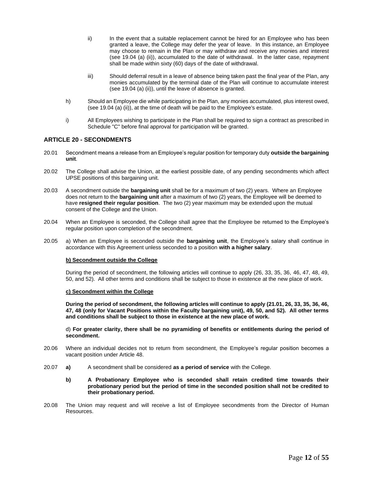- ii) In the event that a suitable replacement cannot be hired for an Employee who has been granted a leave, the College may defer the year of leave. In this instance, an Employee may choose to remain in the Plan or may withdraw and receive any monies and interest (see 19.04 (a) (ii)), accumulated to the date of withdrawal. In the latter case, repayment shall be made within sixty (60) days of the date of withdrawal.
- iii) Should deferral result in a leave of absence being taken past the final year of the Plan, any monies accumulated by the terminal date of the Plan will continue to accumulate interest (see 19.04 (a) (ii)), until the leave of absence is granted.
- h) Should an Employee die while participating in the Plan, any monies accumulated, plus interest owed, (see 19.04 (a) (ii)), at the time of death will be paid to the Employee's estate.
- i) All Employees wishing to participate in the Plan shall be required to sign a contract as prescribed in Schedule "C" before final approval for participation will be granted.

#### <span id="page-16-0"></span>**ARTICLE 20 - SECONDMENTS**

- 20.01 Secondment means a release from an Employee's regular position for temporary duty **outside the bargaining unit**.
- 20.02 The College shall advise the Union, at the earliest possible date, of any pending secondments which affect UPSE positions of this bargaining unit.
- 20.03 A secondment outside the **bargaining unit** shall be for a maximum of two (2) years. Where an Employee does not return to the **bargaining unit** after a maximum of two (2) years, the Employee will be deemed to have **resigned their regular position**. The two (2) year maximum may be extended upon the mutual consent of the College and the Union.
- 20.04 When an Employee is seconded, the College shall agree that the Employee be returned to the Employee's regular position upon completion of the secondment.
- 20.05 a) When an Employee is seconded outside the **bargaining unit**, the Employee's salary shall continue in accordance with this Agreement unless seconded to a position **with a higher salary**.

#### **b) Secondment outside the College**

During the period of secondment, the following articles will continue to apply (26, 33, 35, 36, 46, 47, 48, 49, 50, and 52). All other terms and conditions shall be subject to those in existence at the new place of work.

#### **c) Secondment within the College**

**During the period of secondment, the following articles will continue to apply (21.01, 26, 33, 35, 36, 46, 47, 48 (only for Vacant Positions within the Faculty bargaining unit), 49, 50, and 52). All other terms and conditions shall be subject to those in existence at the new place of work.** 

d) **For greater clarity, there shall be no pyramiding of benefits or entitlements during the period of secondment.**

- 20.06 Where an individual decides not to return from secondment, the Employee's regular position becomes a vacant position under Article 48.
- 20.07 **a)** A secondment shall be considered **as a period of service** with the College.
	- **b) A Probationary Employee who is seconded shall retain credited time towards their probationary period but the period of time in the seconded position shall not be credited to their probationary period.**
- 20.08 The Union may request and will receive a list of Employee secondments from the Director of Human Resources.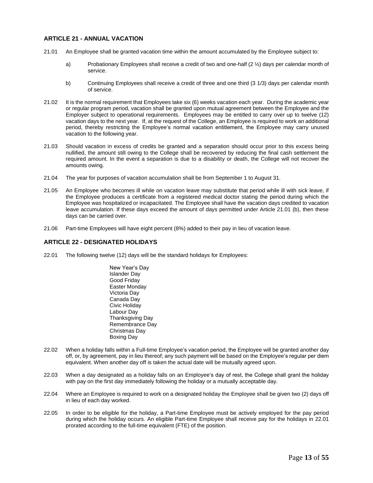#### <span id="page-17-0"></span>**ARTICLE 21 - ANNUAL VACATION**

- 21.01 An Employee shall be granted vacation time within the amount accumulated by the Employee subject to:
	- a) Probationary Employees shall receive a credit of two and one-half (2 ½) days per calendar month of service.
	- b) Continuing Employees shall receive a credit of three and one third (3 1/3) days per calendar month of service.
- 21.02 It is the normal requirement that Employees take six (6) weeks vacation each year. During the academic year or regular program period, vacation shall be granted upon mutual agreement between the Employee and the Employer subject to operational requirements. Employees may be entitled to carry over up to twelve (12) vacation days to the next year. If, at the request of the College, an Employee is required to work an additional period, thereby restricting the Employee's normal vacation entitlement, the Employee may carry unused vacation to the following year.
- 21.03 Should vacation in excess of credits be granted and a separation should occur prior to this excess being nullified, the amount still owing to the College shall be recovered by reducing the final cash settlement the required amount. In the event a separation is due to a disability or death, the College will not recover the amounts owing.
- 21.04 The year for purposes of vacation accumulation shall be from September 1 to August 31.
- 21.05 An Employee who becomes ill while on vacation leave may substitute that period while ill with sick leave, if the Employee produces a certificate from a registered medical doctor stating the period during which the Employee was hospitalized or incapacitated. The Employee shall have the vacation days credited to vacation leave accumulation. If these days exceed the amount of days permitted under Article 21.01 (b), then these days can be carried over.
- 21.06 Part-time Employees will have eight percent (8%) added to their pay in lieu of vacation leave.

#### <span id="page-17-1"></span>**ARTICLE 22 - DESIGNATED HOLIDAYS**

- 22.01 The following twelve (12) days will be the standard holidays for Employees:
	- New Year's Day Islander Day Good Friday Easter Monday Victoria Day Canada Day Civic Holiday Labour Day Thanksgiving Day Remembrance Day Christmas Day Boxing Day
- 22.02 When a holiday falls within a Full-time Employee's vacation period, the Employee will be granted another day off, or, by agreement, pay in lieu thereof; any such payment will be based on the Employee's regular per diem equivalent. When another day off is taken the actual date will be mutually agreed upon.
- 22.03 When a day designated as a holiday falls on an Employee's day of rest, the College shall grant the holiday with pay on the first day immediately following the holiday or a mutually acceptable day.
- 22.04 Where an Employee is required to work on a designated holiday the Employee shall be given two (2) days off in lieu of each day worked.
- 22.05 In order to be eligible for the holiday, a Part-time Employee must be actively employed for the pay period during which the holiday occurs. An eligible Part-time Employee shall receive pay for the holidays in 22.01 prorated according to the full-time equivalent (FTE) of the position.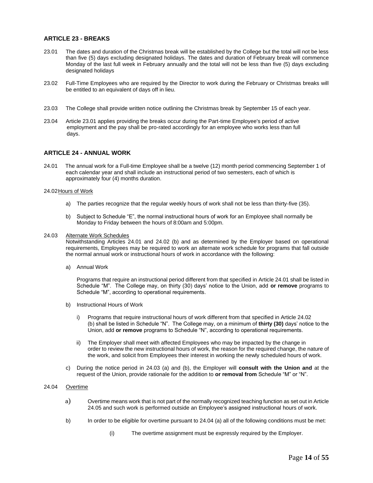#### <span id="page-18-0"></span>**ARTICLE 23 - BREAKS**

- 23.01 The dates and duration of the Christmas break will be established by the College but the total will not be less than five (5) days excluding designated holidays. The dates and duration of February break will commence Monday of the last full week in February annually and the total will not be less than five (5) days excluding designated holidays
- 23.02 Full-Time Employees who are required by the Director to work during the February or Christmas breaks will be entitled to an equivalent of days off in lieu.
- 23.03 The College shall provide written notice outlining the Christmas break by September 15 of each year.
- 23.04 Article 23.01 applies providing the breaks occur during the Part-time Employee's period of active employment and the pay shall be pro-rated accordingly for an employee who works less than full days.

#### <span id="page-18-1"></span>**ARTICLE 24 - ANNUAL WORK**

24.01 The annual work for a Full-time Employee shall be a twelve (12) month period commencing September 1 of each calendar year and shall include an instructional period of two semesters, each of which is approximately four (4) months duration.

#### 24.02Hours of Work

- a) The parties recognize that the regular weekly hours of work shall not be less than thirty-five (35).
- b) Subject to Schedule "E", the normal instructional hours of work for an Employee shall normally be Monday to Friday between the hours of 8:00am and 5:00pm.

#### 24.03 Alternate Work Schedules

Notwithstanding Articles 24.01 and 24.02 (b) and as determined by the Employer based on operational requirements, Employees may be required to work an alternate work schedule for programs that fall outside the normal annual work or instructional hours of work in accordance with the following:

a) Annual Work

Programs that require an instructional period different from that specified in Article 24.01 shall be listed in Schedule "M". The College may, on thirty (30) days' notice to the Union, add **or remove** programs to Schedule "M", according to operational requirements.

- b) Instructional Hours of Work
	- i) Programs that require instructional hours of work different from that specified in Article 24.02 (b) shall be listed in Schedule "N". The College may, on a minimum of **thirty (30)** days' notice to the Union, add **or remove** programs to Schedule "N", according to operational requirements.
	- ii) The Employer shall meet with affected Employees who may be impacted by the change in order to review the new instructional hours of work, the reason for the required change, the nature of the work, and solicit from Employees their interest in working the newly scheduled hours of work.
- c) During the notice period in 24.03 (a) and (b), the Employer will **consult with the Union and** at the request of the Union, provide rationale for the addition to **or removal from** Schedule "M" or "N".

#### 24.04 Overtime

- a) Overtime means work that is not part of the normally recognized teaching function as set out in Article 24.05 and such work is performed outside an Employee's assigned instructional hours of work.
- b) In order to be eligible for overtime pursuant to 24.04 (a) all of the following conditions must be met:
	- (i) The overtime assignment must be expressly required by the Employer.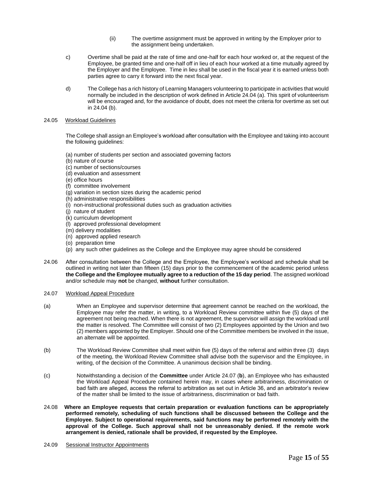- (ii) The overtime assignment must be approved in writing by the Employer prior to the assignment being undertaken.
- c) Overtime shall be paid at the rate of time and one-half for each hour worked or, at the request of the Employee, be granted time and one-half off in lieu of each hour worked at a time mutually agreed by the Employer and the Employee. Time in lieu shall be used in the fiscal year it is earned unless both parties agree to carry it forward into the next fiscal year.
- d) The College has a rich history of Learning Managers volunteering to participate in activities that would normally be included in the description of work defined in Article 24.04 (a). This spirit of volunteerism will be encouraged and, for the avoidance of doubt, does not meet the criteria for overtime as set out in 24.04 (b).

#### 24.05 Workload Guidelines

The College shall assign an Employee's workload after consultation with the Employee and taking into account the following guidelines:

- (a) number of students per section and associated governing factors
- (b) nature of course
- (c) number of sections/courses
- (d) evaluation and assessment
- (e) office hours
- (f) committee involvement
- (g) variation in section sizes during the academic period
- (h) administrative responsibilities
- (i) non-instructional professional duties such as graduation activities
- (j) nature of student
- (k) curriculum development
- (l) approved professional development
- (m) delivery modalities
- (n) approved applied research
- (o) preparation time
- (p) any such other guidelines as the College and the Employee may agree should be considered
- 24.06 After consultation between the College and the Employee, the Employee's workload and schedule shall be outlined in writing not later than fifteen (15) days prior to the commencement of the academic period unless **the College and the Employee mutually agree to a reduction of the 15 day period**. The assigned workload and/or schedule may **not** be changed, **without** further consultation.
- 24.07 Workload Appeal Procedure
- (a) When an Employee and supervisor determine that agreement cannot be reached on the workload, the Employee may refer the matter, in writing, to a Workload Review committee within five (5) days of the agreement not being reached. When there is not agreement, the supervisor will assign the workload until the matter is resolved. The Committee will consist of two (2) Employees appointed by the Union and two (2) members appointed by the Employer. Should one of the Committee members be involved in the issue, an alternate will be appointed.
- (b) The Workload Review Committee shall meet within five (5) days of the referral and within three (3) days of the meeting, the Workload Review Committee shall advise both the supervisor and the Employee, in writing, of the decision of the Committee. A unanimous decision shall be binding*.*
- (c) Notwithstanding a decision of the **Committee** under Article 24.07 (**b**), an Employee who has exhausted the Workload Appeal Procedure contained herein may, in cases where arbitrariness, discrimination or bad faith are alleged, access the referral to arbitration as set out in Article 36, and an arbitrator's review of the matter shall be limited to the issue of arbitrariness, discrimination or bad faith.
- 24.08 **Where an Employee requests that certain preparation or evaluation functions can be appropriately performed remotely***,* **scheduling of such functions shall be discussed between the College and the Employee. Subject to operational requirements, said functions may be performed remotely with the approval of the College. Such approval shall not be unreasonably denied. If the remote work arrangement is denied, rationale shall be provided, if requested by the Employee.**
- 24.09 Sessional Instructor Appointments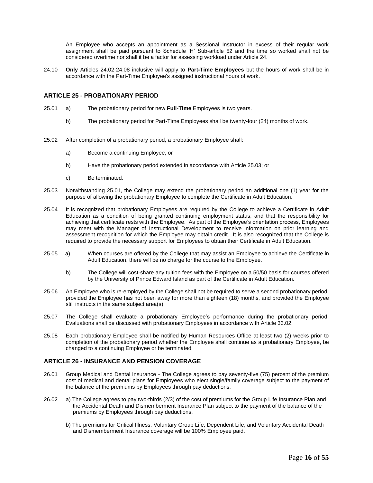An Employee who accepts an appointment as a Sessional Instructor in excess of their regular work assignment shall be paid pursuant to Schedule 'H' Sub-article 52 and the time so worked shall not be considered overtime nor shall it be a factor for assessing workload under Article 24.

24.10 **Only** Articles 24.02-24.08 inclusive will apply to **Part-Time Employees** but the hours of work shall be in accordance with the Part-Time Employee's assigned instructional hours of work.

#### <span id="page-20-0"></span>**ARTICLE 25 - PROBATIONARY PERIOD**

- 25.01 a) The probationary period for new **Full-Time** Employees is two years.
	- b) The probationary period for Part-Time Employees shall be twenty-four (24) months of work.
- 25.02 After completion of a probationary period, a probationary Employee shall:
	- a) Become a continuing Employee; or
	- b) Have the probationary period extended in accordance with Article 25.03; or
	- c) Be terminated.
- 25.03 Notwithstanding 25.01, the College may extend the probationary period an additional one (1) year for the purpose of allowing the probationary Employee to complete the Certificate in Adult Education.
- 25.04 It is recognized that probationary Employees are required by the College to achieve a Certificate in Adult Education as a condition of being granted continuing employment status, and that the responsibility for achieving that certificate rests with the Employee. As part of the Employee's orientation process, Employees may meet with the Manager of Instructional Development to receive information on prior learning and assessment recognition for which the Employee may obtain credit. It is also recognized that the College is required to provide the necessary support for Employees to obtain their Certificate in Adult Education.
- 25.05 a) When courses are offered by the College that may assist an Employee to achieve the Certificate in Adult Education, there will be no charge for the course to the Employee.
	- b) The College will cost-share any tuition fees with the Employee on a 50/50 basis for courses offered by the University of Prince Edward Island as part of the Certificate in Adult Education.
- 25.06 An Employee who is re-employed by the College shall not be required to serve a second probationary period, provided the Employee has not been away for more than eighteen (18) months, and provided the Employee still instructs in the same subject area(s).
- 25.07 The College shall evaluate a probationary Employee's performance during the probationary period. Evaluations shall be discussed with probationary Employees in accordance with Article 33.02.
- 25.08 Each probationary Employee shall be notified by Human Resources Office at least two (2) weeks prior to completion of the probationary period whether the Employee shall continue as a probationary Employee, be changed to a continuing Employee or be terminated.

#### <span id="page-20-1"></span>**ARTICLE 26 - INSURANCE AND PENSION COVERAGE**

- 26.01 Group Medical and Dental Insurance The College agrees to pay seventy-five (75) percent of the premium cost of medical and dental plans for Employees who elect single/family coverage subject to the payment of the balance of the premiums by Employees through pay deductions.
- 26.02 a) The College agrees to pay two-thirds (2/3) of the cost of premiums for the Group Life Insurance Plan and the Accidental Death and Dismemberment Insurance Plan subject to the payment of the balance of the premiums by Employees through pay deductions.
	- b) The premiums for Critical Illness, Voluntary Group Life, Dependent Life, and Voluntary Accidental Death and Dismemberment Insurance coverage will be 100% Employee paid.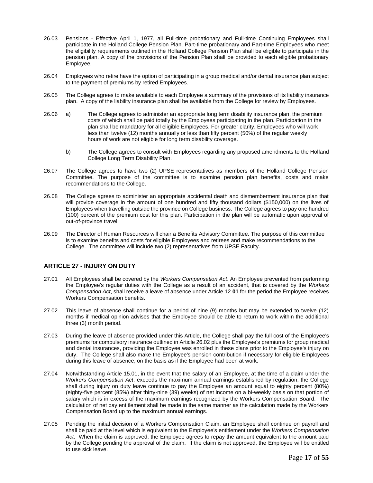- 26.03 Pensions Effective April 1, 1977, all Full-time probationary and Full-time Continuing Employees shall participate in the Holland College Pension Plan. Part-time probationary and Part-time Employees who meet the eligibility requirements outlined in the Holland College Pension Plan shall be eligible to participate in the pension plan. A copy of the provisions of the Pension Plan shall be provided to each eligible probationary Employee.
- 26.04 Employees who retire have the option of participating in a group medical and/or dental insurance plan subject to the payment of premiums by retired Employees.
- 26.05 The College agrees to make available to each Employee a summary of the provisions of its liability insurance plan. A copy of the liability insurance plan shall be available from the College for review by Employees.
- 26.06 a) The College agrees to administer an appropriate long term disability insurance plan, the premium costs of which shall be paid totally by the Employees participating in the plan. Participation in the plan shall be mandatory for all eligible Employees. For greater clarity, Employees who will work less than twelve (12) months annually or less than fifty percent (50%) of the regular weekly hours of work are not eligible for long term disability coverage.
	- b) The College agrees to consult with Employees regarding any proposed amendments to the Holland College Long Term Disability Plan.
- 26.07 The College agrees to have two (2) UPSE representatives as members of the Holland College Pension Committee. The purpose of the committee is to examine pension plan benefits, costs and make recommendations to the College.
- 26.08 The College agrees to administer an appropriate accidental death and dismemberment insurance plan that will provide coverage in the amount of one hundred and fifty thousand dollars (\$150,000) on the lives of Employees when travelling outside the province on College business. The College agrees to pay one hundred (100) percent of the premium cost for this plan. Participation in the plan will be automatic upon approval of out-of-province travel.
- 26.09 The Director of Human Resources will chair a Benefits Advisory Committee. The purpose of this committee is to examine benefits and costs for eligible Employees and retirees and make recommendations to the College. The committee will include two (2) representatives from UPSE Faculty.

#### <span id="page-21-0"></span>**ARTICLE 27 - INJURY ON DUTY**

- 27.01 All Employees shall be covered by the *Workers Compensation Act*. An Employee prevented from performing the Employee's regular duties with the College as a result of an accident, that is covered by the *Workers Compensation Act*, shall receive a leave of absence under Article 12.**01** for the period the Employee receives Workers Compensation benefits.
- 27.02 This leave of absence shall continue for a period of nine (9) months but may be extended to twelve (12) months if medical opinion advises that the Employee should be able to return to work within the additional three (3) month period.
- 27.03 During the leave of absence provided under this Article, the College shall pay the full cost of the Employee's premiums for compulsory insurance outlined in Article 26.02 plus the Employee's premiums for group medical and dental insurances, providing the Employee was enrolled in these plans prior to the Employee's injury on duty. The College shall also make the Employee's pension contribution if necessary for eligible Employees during this leave of absence, on the basis as if the Employee had been at work.
- 27.04 Notwithstanding Article 15.01, in the event that the salary of an Employee, at the time of a claim under the *Workers Compensation Act*, exceeds the maximum annual earnings established by regulation, the College shall during injury on duty leave continue to pay the Employee an amount equal to eighty percent (80%) (eighty-five percent (85%) after thirty-nine (39) weeks) of net income on a bi-weekly basis on that portion of salary which is in excess of the maximum earnings recognized by the Workers Compensation Board. The calculation of net pay entitlement shall be made in the same manner as the calculation made by the Workers Compensation Board up to the maximum annual earnings.
- 27.05 Pending the initial decision of a Workers Compensation Claim, an Employee shall continue on payroll and shall be paid at the level which is equivalent to the Employee's entitlement under the *Workers Compensation Act*. When the claim is approved, the Employee agrees to repay the amount equivalent to the amount paid by the College pending the approval of the claim. If the claim is not approved, the Employee will be entitled to use sick leave.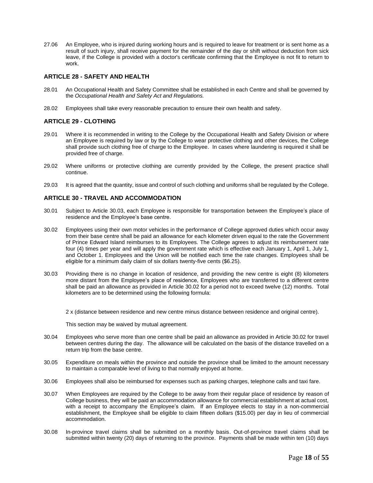27.06 An Employee, who is injured during working hours and is required to leave for treatment or is sent home as a result of such injury, shall receive payment for the remainder of the day or shift without deduction from sick leave, if the College is provided with a doctor's certificate confirming that the Employee is not fit to return to work.

#### <span id="page-22-0"></span>**ARTICLE 28 - SAFETY AND HEALTH**

- 28.01 An Occupational Health and Safety Committee shall be established in each Centre and shall be governed by the *Occupational Health and Safety Act and Regulations.*
- 28.02 Employees shall take every reasonable precaution to ensure their own health and safety.

#### <span id="page-22-1"></span>**ARTICLE 29 - CLOTHING**

- 29.01 Where it is recommended in writing to the College by the Occupational Health and Safety Division or where an Employee is required by law or by the College to wear protective clothing and other devices, the College shall provide such clothing free of charge to the Employee. In cases where laundering is required it shall be provided free of charge.
- 29.02 Where uniforms or protective clothing are currently provided by the College, the present practice shall continue.
- 29.03 It is agreed that the quantity, issue and control of such clothing and uniforms shall be regulated by the College.

#### <span id="page-22-2"></span>**ARTICLE 30 - TRAVEL AND ACCOMMODATION**

- 30.01 Subject to Article 30.03, each Employee is responsible for transportation between the Employee's place of residence and the Employee's base centre.
- 30.02 Employees using their own motor vehicles in the performance of College approved duties which occur away from their base centre shall be paid an allowance for each kilometer driven equal to the rate the Government of Prince Edward Island reimburses to its Employees. The College agrees to adjust its reimbursement rate four (4) times per year and will apply the government rate which is effective each January 1, April 1, July 1, and October 1. Employees and the Union will be notified each time the rate changes. Employees shall be eligible for a minimum daily claim of six dollars twenty-five cents (\$6.25).
- 30.03 Providing there is no change in location of residence, and providing the new centre is eight (8) kilometers more distant from the Employee's place of residence, Employees who are transferred to a different centre shall be paid an allowance as provided in Article 30.02 for a period not to exceed twelve (12) months. Total kilometers are to be determined using the following formula:

2 x (distance between residence and new centre minus distance between residence and original centre).

This section may be waived by mutual agreement.

- 30.04 Employees who serve more than one centre shall be paid an allowance as provided in Article 30.02 for travel between centres during the day. The allowance will be calculated on the basis of the distance travelled on a return trip from the base centre.
- 30.05 Expenditure on meals within the province and outside the province shall be limited to the amount necessary to maintain a comparable level of living to that normally enjoyed at home.
- 30.06 Employees shall also be reimbursed for expenses such as parking charges, telephone calls and taxi fare.
- 30.07 When Employees are required by the College to be away from their regular place of residence by reason of College business, they will be paid an accommodation allowance for commercial establishment at actual cost, with a receipt to accompany the Employee's claim. If an Employee elects to stay in a non-commercial establishment, the Employee shall be eligible to claim fifteen dollars (\$15.00) per day in lieu of commercial accommodation.
- 30.08 In-province travel claims shall be submitted on a monthly basis. Out-of-province travel claims shall be submitted within twenty (20) days of returning to the province. Payments shall be made within ten (10) days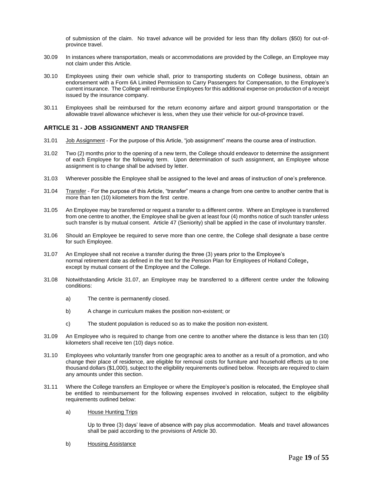of submission of the claim. No travel advance will be provided for less than fifty dollars (\$50) for out-ofprovince travel.

- 30.09 In instances where transportation, meals or accommodations are provided by the College, an Employee may not claim under this Article.
- 30.10 Employees using their own vehicle shall, prior to transporting students on College business, obtain an endorsement with a Form 6A Limited Permission to Carry Passengers for Compensation, to the Employee's current insurance. The College will reimburse Employees for this additional expense on production of a receipt issued by the insurance company.
- 30.11 Employees shall be reimbursed for the return economy airfare and airport ground transportation or the allowable travel allowance whichever is less, when they use their vehicle for out-of-province travel.

#### <span id="page-23-0"></span>**ARTICLE 31 - JOB ASSIGNMENT AND TRANSFER**

- 31.01 Job Assignment For the purpose of this Article, "job assignment" means the course area of instruction.
- 31.02 Two (2) months prior to the opening of a new term, the College should endeavor to determine the assignment of each Employee for the following term. Upon determination of such assignment, an Employee whose assignment is to change shall be advised by letter.
- 31.03 Wherever possible the Employee shall be assigned to the level and areas of instruction of one's preference.
- 31.04 Transfer For the purpose of this Article, "transfer" means a change from one centre to another centre that is more than ten (10) kilometers from the first centre.
- 31.05 An Employee may be transferred or request a transfer to a different centre. Where an Employee is transferred from one centre to another, the Employee shall be given at least four (4) months notice of such transfer unless such transfer is by mutual consent. Article 47 (Seniority) shall be applied in the case of involuntary transfer.
- 31.06 Should an Employee be required to serve more than one centre, the College shall designate a base centre for such Employee.
- 31.07 An Employee shall not receive a transfer during the three (3) years prior to the Employee's normal retirement date as defined in the text for the Pension Plan for Employees of Holland College**,**  except by mutual consent of the Employee and the College.
- 31.08 Notwithstanding Article 31.07, an Employee may be transferred to a different centre under the following conditions:
	- a) The centre is permanently closed.
	- b) A change in curriculum makes the position non-existent; or
	- c) The student population is reduced so as to make the position non-existent.
- 31.09 An Employee who is required to change from one centre to another where the distance is less than ten (10) kilometers shall receive ten (10) days notice.
- 31.10 Employees who voluntarily transfer from one geographic area to another as a result of a promotion, and who change their place of residence, are eligible for removal costs for furniture and household effects up to one thousand dollars (\$1,000), subject to the eligibility requirements outlined below. Receipts are required to claim any amounts under this section.
- 31.11 Where the College transfers an Employee or where the Employee's position is relocated, the Employee shall be entitled to reimbursement for the following expenses involved in relocation, subject to the eligibility requirements outlined below:
	- a) House Hunting Trips

Up to three (3) days' leave of absence with pay plus accommodation. Meals and travel allowances shall be paid according to the provisions of Article 30.

b) Housing Assistance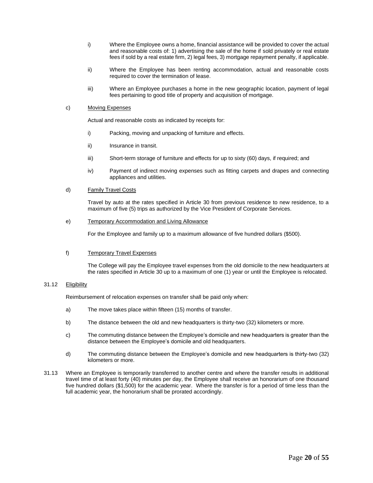- i) Where the Employee owns a home, financial assistance will be provided to cover the actual and reasonable costs of: 1) advertising the sale of the home if sold privately or real estate fees if sold by a real estate firm, 2) legal fees, 3) mortgage repayment penalty, if applicable.
- ii) Where the Employee has been renting accommodation, actual and reasonable costs required to cover the termination of lease.
- iii) Where an Employee purchases a home in the new geographic location, payment of legal fees pertaining to good title of property and acquisition of mortgage.

#### c) Moving Expenses

Actual and reasonable costs as indicated by receipts for:

- i) Packing, moving and unpacking of furniture and effects.
- ii) Insurance in transit.
- iii) Short-term storage of furniture and effects for up to sixty (60) days, if required; and
- iv) Payment of indirect moving expenses such as fitting carpets and drapes and connecting appliances and utilities.

#### d) Family Travel Costs

Travel by auto at the rates specified in Article 30 from previous residence to new residence, to a maximum of five (5) trips as authorized by the Vice President of Corporate Services.

#### e) Temporary Accommodation and Living Allowance

For the Employee and family up to a maximum allowance of five hundred dollars (\$500).

#### f) Temporary Travel Expenses

The College will pay the Employee travel expenses from the old domicile to the new headquarters at the rates specified in Article 30 up to a maximum of one (1) year or until the Employee is relocated.

#### 31.12 Eligibility

Reimbursement of relocation expenses on transfer shall be paid only when:

- a) The move takes place within fifteen (15) months of transfer.
- b) The distance between the old and new headquarters is thirty-two (32) kilometers or more.
- c) The commuting distance between the Employee's domicile and new headquarters is greater than the distance between the Employee's domicile and old headquarters.
- d) The commuting distance between the Employee's domicile and new headquarters is thirty-two (32) kilometers or more.
- <span id="page-24-0"></span>31.13 Where an Employee is temporarily transferred to another centre and where the transfer results in additional travel time of at least forty (40) minutes per day, the Employee shall receive an honorarium of one thousand five hundred dollars (\$1,500) for the academic year. Where the transfer is for a period of time less than the full academic year, the honorarium shall be prorated accordingly.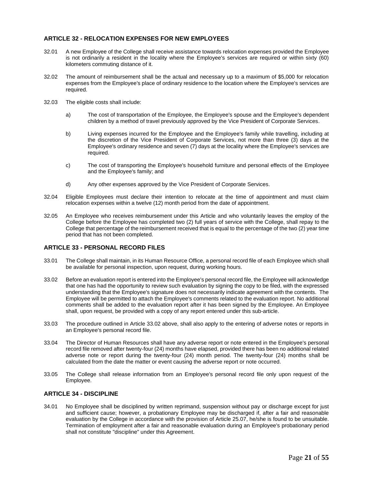#### **ARTICLE 32 - RELOCATION EXPENSES FOR NEW EMPLOYEES**

- 32.01 A new Employee of the College shall receive assistance towards relocation expenses provided the Employee is not ordinarily a resident in the locality where the Employee's services are required or within sixty (60) kilometers commuting distance of it.
- 32.02 The amount of reimbursement shall be the actual and necessary up to a maximum of \$5,000 for relocation expenses from the Employee's place of ordinary residence to the location where the Employee's services are required.
- 32.03 The eligible costs shall include:
	- a) The cost of transportation of the Employee, the Employee's spouse and the Employee's dependent children by a method of travel previously approved by the Vice President of Corporate Services.
	- b) Living expenses incurred for the Employee and the Employee's family while travelling, including at the discretion of the Vice President of Corporate Services, not more than three (3) days at the Employee's ordinary residence and seven (7) days at the locality where the Employee's services are required.
	- c) The cost of transporting the Employee's household furniture and personal effects of the Employee and the Employee's family; and
	- d) Any other expenses approved by the Vice President of Corporate Services.
- 32.04 Eligible Employees must declare their intention to relocate at the time of appointment and must claim relocation expenses within a twelve (12) month period from the date of appointment.
- 32.05 An Employee who receives reimbursement under this Article and who voluntarily leaves the employ of the College before the Employee has completed two (2) full years of service with the College, shall repay to the College that percentage of the reimbursement received that is equal to the percentage of the two (2) year time period that has not been completed.

#### <span id="page-25-0"></span>**ARTICLE 33 - PERSONAL RECORD FILES**

- 33.01 The College shall maintain, in its Human Resource Office, a personal record file of each Employee which shall be available for personal inspection, upon request, during working hours.
- 33.02 Before an evaluation report is entered into the Employee's personal record file, the Employee will acknowledge that one has had the opportunity to review such evaluation by signing the copy to be filed, with the expressed understanding that the Employee's signature does not necessarily indicate agreement with the contents. The Employee will be permitted to attach the Employee's comments related to the evaluation report. No additional comments shall be added to the evaluation report after it has been signed by the Employee. An Employee shall, upon request, be provided with a copy of any report entered under this sub-article.
- 33.03 The procedure outlined in Article 33.02 above, shall also apply to the entering of adverse notes or reports in an Employee's personal record file.
- 33.04 The Director of Human Resources shall have any adverse report or note entered in the Employee's personal record file removed after twenty-four (24) months have elapsed, provided there has been no additional related adverse note or report during the twenty-four (24) month period. The twenty-four (24) months shall be calculated from the date the matter or event causing the adverse report or note occurred.
- 33.05 The College shall release information from an Employee's personal record file only upon request of the Employee.

#### <span id="page-25-1"></span>**ARTICLE 34 - DISCIPLINE**

34.01 No Employee shall be disciplined by written reprimand, suspension without pay or discharge except for just and sufficient cause; however, a probationary Employee may be discharged if, after a fair and reasonable evaluation by the College in accordance with the provision of Article 25.07, he/she is found to be unsuitable. Termination of employment after a fair and reasonable evaluation during an Employee's probationary period shall not constitute "discipline" under this Agreement.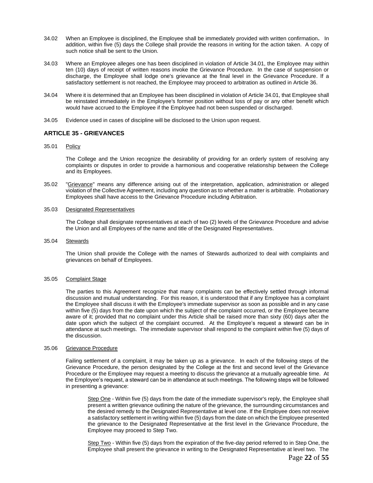- 34.02 When an Employee is disciplined, the Employee shall be immediately provided with written confirmation**.** In addition, within five (5) days the College shall provide the reasons in writing for the action taken. A copy of such notice shall be sent to the Union.
- 34.03 Where an Employee alleges one has been disciplined in violation of Article 34.01, the Employee may within ten (10) days of receipt of written reasons invoke the Grievance Procedure. In the case of suspension or discharge, the Employee shall lodge one's grievance at the final level in the Grievance Procedure. If a satisfactory settlement is not reached, the Employee may proceed to arbitration as outlined in Article 36.
- 34.04 Where it is determined that an Employee has been disciplined in violation of Article 34.01, that Employee shall be reinstated immediately in the Employee's former position without loss of pay or any other benefit which would have accrued to the Employee if the Employee had not been suspended or discharged.
- 34.05 Evidence used in cases of discipline will be disclosed to the Union upon request.

#### <span id="page-26-0"></span>**ARTICLE 35 - GRIEVANCES**

35.01 Policy

The College and the Union recognize the desirability of providing for an orderly system of resolving any complaints or disputes in order to provide a harmonious and cooperative relationship between the College and its Employees.

35.02 "Grievance" means any difference arising out of the interpretation, application, administration or alleged violation of the Collective Agreement, including any question as to whether a matter is arbitrable. Probationary Employees shall have access to the Grievance Procedure including Arbitration.

#### 35.03 Designated Representatives

The College shall designate representatives at each of two (2) levels of the Grievance Procedure and advise the Union and all Employees of the name and title of the Designated Representatives.

35.04 Stewards

The Union shall provide the College with the names of Stewards authorized to deal with complaints and grievances on behalf of Employees.

#### 35.05 Complaint Stage

The parties to this Agreement recognize that many complaints can be effectively settled through informal discussion and mutual understanding. For this reason, it is understood that if any Employee has a complaint the Employee shall discuss it with the Employee's immediate supervisor as soon as possible and in any case within five (5) days from the date upon which the subject of the complaint occurred, or the Employee became aware of it; provided that no complaint under this Article shall be raised more than sixty (60) days after the date upon which the subject of the complaint occurred. At the Employee's request a steward can be in attendance at such meetings. The immediate supervisor shall respond to the complaint within five (5) days of the discussion.

#### 35.06 Grievance Procedure

Failing settlement of a complaint, it may be taken up as a grievance. In each of the following steps of the Grievance Procedure, the person designated by the College at the first and second level of the Grievance Procedure or the Employee may request a meeting to discuss the grievance at a mutually agreeable time. At the Employee's request, a steward can be in attendance at such meetings. The following steps will be followed in presenting a grievance:

Step One - Within five (5) days from the date of the immediate supervisor's reply, the Employee shall present a written grievance outlining the nature of the grievance, the surrounding circumstances and the desired remedy to the Designated Representative at level one. If the Employee does not receive a satisfactory settlement in writing within five (5) days from the date on which the Employee presented the grievance to the Designated Representative at the first level in the Grievance Procedure, the Employee may proceed to Step Two.

Step Two - Within five (5) days from the expiration of the five-day period referred to in Step One, the Employee shall present the grievance in writing to the Designated Representative at level two. The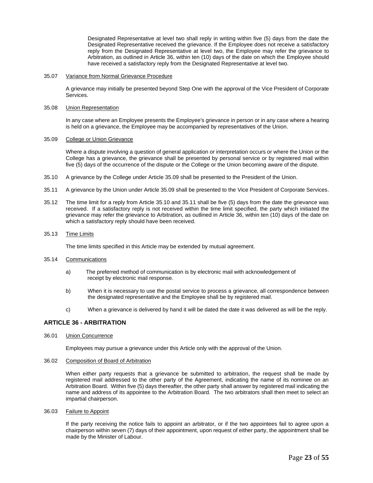Designated Representative at level two shall reply in writing within five (5) days from the date the Designated Representative received the grievance. If the Employee does not receive a satisfactory reply from the Designated Representative at level two, the Employee may refer the grievance to Arbitration, as outlined in Article 36, within ten (10) days of the date on which the Employee should have received a satisfactory reply from the Designated Representative at level two.

#### 35.07 Variance from Normal Grievance Procedure

A grievance may initially be presented beyond Step One with the approval of the Vice President of Corporate Services.

#### 35.08 Union Representation

In any case where an Employee presents the Employee's grievance in person or in any case where a hearing is held on a grievance, the Employee may be accompanied by representatives of the Union.

#### 35.09 College or Union Grievance

Where a dispute involving a question of general application or interpretation occurs or where the Union or the College has a grievance, the grievance shall be presented by personal service or by registered mail within five (5) days of the occurrence of the dispute or the College or the Union becoming aware of the dispute.

- 35.10 A grievance by the College under Article 35.09 shall be presented to the President of the Union.
- 35.11 A grievance by the Union under Article 35.09 shall be presented to the Vice President of Corporate Services.
- 35.12 The time limit for a reply from Article 35.10 and 35.11 shall be five (5) days from the date the grievance was received. If a satisfactory reply is not received within the time limit specified, the party which initiated the grievance may refer the grievance to Arbitration, as outlined in Article 36, within ten (10) days of the date on which a satisfactory reply should have been received.

#### 35.13 Time Limits

The time limits specified in this Article may be extended by mutual agreement.

#### 35.14 Communications

- a) The preferred method of communication is by electronic mail with acknowledgement of receipt by electronic mail response.
- b) When it is necessary to use the postal service to process a grievance, all correspondence between the designated representative and the Employee shall be by registered mail.
- c) When a grievance is delivered by hand it will be dated the date it was delivered as will be the reply.

#### <span id="page-27-0"></span>**ARTICLE 36 - ARBITRATION**

36.01 Union Concurrence

Employees may pursue a grievance under this Article only with the approval of the Union.

#### 36.02 Composition of Board of Arbitration

When either party requests that a grievance be submitted to arbitration, the request shall be made by registered mail addressed to the other party of the Agreement, indicating the name of its nominee on an Arbitration Board. Within five (5) days thereafter, the other party shall answer by registered mail indicating the name and address of its appointee to the Arbitration Board. The two arbitrators shall then meet to select an impartial chairperson.

36.03 Failure to Appoint

If the party receiving the notice fails to appoint an arbitrator, or if the two appointees fail to agree upon a chairperson within seven (7) days of their appointment, upon request of either party, the appointment shall be made by the Minister of Labour.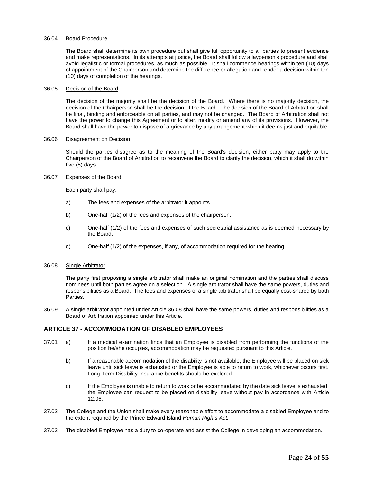#### 36.04 Board Procedure

The Board shall determine its own procedure but shall give full opportunity to all parties to present evidence and make representations. In its attempts at justice, the Board shall follow a layperson's procedure and shall avoid legalistic or formal procedures, as much as possible. It shall commence hearings within ten (10) days of appointment of the Chairperson and determine the difference or allegation and render a decision within ten (10) days of completion of the hearings.

#### 36.05 Decision of the Board

The decision of the majority shall be the decision of the Board. Where there is no majority decision, the decision of the Chairperson shall be the decision of the Board. The decision of the Board of Arbitration shall be final, binding and enforceable on all parties, and may not be changed. The Board of Arbitration shall not have the power to change this Agreement or to alter, modify or amend any of its provisions. However, the Board shall have the power to dispose of a grievance by any arrangement which it deems just and equitable.

#### 36.06 Disagreement on Decision

Should the parties disagree as to the meaning of the Board's decision, either party may apply to the Chairperson of the Board of Arbitration to reconvene the Board to clarify the decision, which it shall do within five (5) days.

#### 36.07 Expenses of the Board

Each party shall pay:

- a) The fees and expenses of the arbitrator it appoints.
- b) One-half (1/2) of the fees and expenses of the chairperson.
- c) One-half (1/2) of the fees and expenses of such secretarial assistance as is deemed necessary by the Board.
- d) One-half (1/2) of the expenses, if any, of accommodation required for the hearing.

#### 36.08 Single Arbitrator

The party first proposing a single arbitrator shall make an original nomination and the parties shall discuss nominees until both parties agree on a selection. A single arbitrator shall have the same powers, duties and responsibilities as a Board. The fees and expenses of a single arbitrator shall be equally cost-shared by both Parties.

36.09 A single arbitrator appointed under Article 36.08 shall have the same powers, duties and responsibilities as a Board of Arbitration appointed under this Article.

#### <span id="page-28-0"></span>**ARTICLE 37 - ACCOMMODATION OF DISABLED EMPLOYEES**

- 37.01 a) If a medical examination finds that an Employee is disabled from performing the functions of the position he/she occupies, accommodation may be requested pursuant to this Article.
	- b) If a reasonable accommodation of the disability is not available, the Employee will be placed on sick leave until sick leave is exhausted or the Employee is able to return to work, whichever occurs first. Long Term Disability Insurance benefits should be explored.
	- c) If the Employee is unable to return to work or be accommodated by the date sick leave is exhausted, the Employee can request to be placed on disability leave without pay in accordance with Article 12.06.
- 37.02 The College and the Union shall make every reasonable effort to accommodate a disabled Employee and to the extent required by the Prince Edward Island *Human Rights Act.*
- 37.03 The disabled Employee has a duty to co-operate and assist the College in developing an accommodation.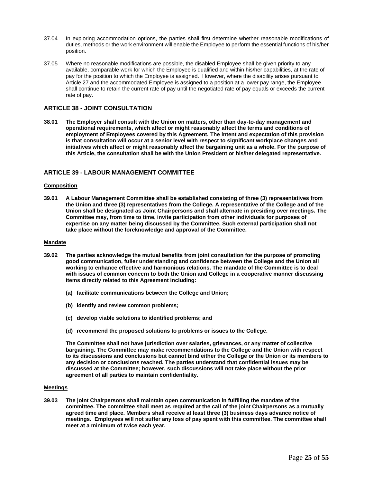- 37.04 In exploring accommodation options, the parties shall first determine whether reasonable modifications of duties, methods or the work environment will enable the Employee to perform the essential functions of his/her position.
- 37.05 Where no reasonable modifications are possible, the disabled Employee shall be given priority to any available, comparable work for which the Employee is qualified and within his/her capabilities, at the rate of pay for the position to which the Employee is assigned. However, where the disability arises pursuant to Article 27 and the accommodated Employee is assigned to a position at a lower pay range, the Employee shall continue to retain the current rate of pay until the negotiated rate of pay equals or exceeds the current rate of pay.

#### <span id="page-29-0"></span>**ARTICLE 38 - JOINT CONSULTATION**

**38.01 The Employer shall consult with the Union on matters, other than day-to-day management and operational requirements, which affect or might reasonably affect the terms and conditions of employment of Employees covered by this Agreement. The intent and expectation of this provision is that consultation will occur at a senior level with respect to significant workplace changes and initiatives which affect or might reasonably affect the bargaining unit as a whole. For the purpose of this Article, the consultation shall be with the Union President or his/her delegated representative.** 

#### <span id="page-29-1"></span>**ARTICLE 39 - LABOUR MANAGEMENT COMMITTEE**

#### **Composition**

**39.01 A Labour Management Committee shall be established consisting of three (3) representatives from the Union and three (3) representatives from the College. A representative of the College and of the Union shall be designated as Joint Chairpersons and shall alternate in presiding over meetings. The Committee may, from time to time, invite participation from other individuals for purposes of expertise on any matter being discussed by the Committee. Such external participation shall not take place without the foreknowledge and approval of the Committee.**

#### **Mandate**

- **39.02 The parties acknowledge the mutual benefits from joint consultation for the purpose of promoting good communication, fuller understanding and confidence between the College and the Union all working to enhance effective and harmonious relations. The mandate of the Committee is to deal with issues of common concern to both the Union and College in a cooperative manner discussing items directly related to this Agreement including:**
	- **(a) facilitate communications between the College and Union;**
	- **(b) identify and review common problems;**
	- **(c) develop viable solutions to identified problems; and**
	- **(d) recommend the proposed solutions to problems or issues to the College.**

**The Committee shall not have jurisdiction over salaries, grievances, or any matter of collective bargaining. The Committee may make recommendations to the College and the Union with respect to its discussions and conclusions but cannot bind either the College or the Union or its members to any decision or conclusions reached. The parties understand that confidential issues may be discussed at the Committee; however, such discussions will not take place without the prior agreement of all parties to maintain confidentiality.** 

#### **Meetings**

**39.03 The joint Chairpersons shall maintain open communication in fulfilling the mandate of the committee. The committee shall meet as required at the call of the joint Chairpersons as a mutually agreed time and place. Members shall receive at least three (3) business days advance notice of meetings. Employees will not suffer any loss of pay spent with this committee. The committee shall meet at a minimum of twice each year.**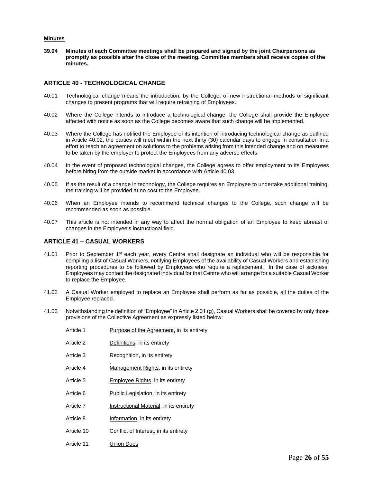#### **Minutes**

**39.04 Minutes of each Committee meetings shall be prepared and signed by the joint Chairpersons as promptly as possible after the close of the meeting. Committee members shall receive copies of the minutes.**

#### <span id="page-30-0"></span>**ARTICLE 40 - TECHNOLOGICAL CHANGE**

- 40.01 Technological change means the introduction, by the College, of new instructional methods or significant changes to present programs that will require retraining of Employees.
- 40.02 Where the College intends to introduce a technological change, the College shall provide the Employee affected with notice as soon as the College becomes aware that such change will be implemented.
- 40.03 Where the College has notified the Employee of its intention of introducing technological change as outlined in Article 40.02, the parties will meet within the next thirty (30) calendar days to engage in consultation in a effort to reach an agreement on solutions to the problems arising from this intended change and on measures to be taken by the employer to protect the Employees from any adverse effects.
- 40.04 In the event of proposed technological changes, the College agrees to offer employment to its Employees before hiring from the outside market in accordance with Article 40.03.
- 40.05 If as the result of a change in technology, the College requires an Employee to undertake additional training, the training will be provided at no cost to the Employee.
- 40.06 When an Employee intends to recommend technical changes to the College, such change will be recommended as soon as possible.
- 40.07 This article is not intended in any way to affect the normal obligation of an Employee to keep abreast of changes in the Employee's instructional field.

#### <span id="page-30-1"></span>**ARTICLE 41 – CASUAL WORKERS**

- 41.01 Prior to September 1<sup>st</sup> each year, every Centre shall designate an individual who will be responsible for compiling a list of Casual Workers, notifying Employees of the availability of Casual Workers and establishing reporting procedures to be followed by Employees who require a replacement. In the case of sickness, Employees may contact the designated individual for that Centre who will arrange for a suitable Casual Worker to replace the Employee.
- 41.02 A Casual Worker employed to replace an Employee shall perform as far as possible, all the duties of the Employee replaced.
- 41.03 Notwithstanding the definition of "Employee" in Article 2.01 (g), Casual Workers shall be covered by only those provisions of the Collective Agreement as expressly listed below:
	- Article 1 Purpose of the Agreement, in its entirety Article 2 Definitions, in its entirety Article 3 Recognition, in its entirety . Article 4 Management Rights, in its entirety Article 5 Employee Rights, in its entirety Article 6 Public Legislation, in its entirety Article 7 **Instructional Material**, in its entirety Article 8 **Information**, in its entirety Article 10 Conflict of Interest, in its entirety
	- Article 11 Union Dues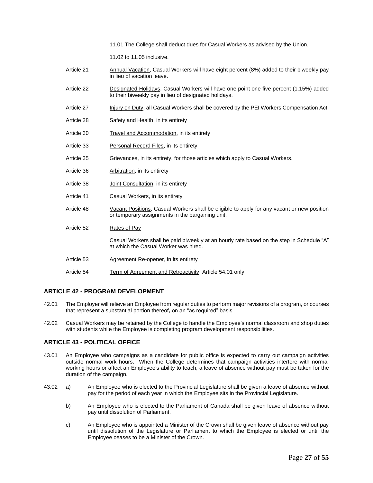11.01 The College shall deduct dues for Casual Workers as advised by the Union.

11.02 to 11.05 inclusive.

- Article 21 Annual Vacation, Casual Workers will have eight percent (8%) added to their biweekly pay in lieu of vacation leave.
- Article 22 Designated Holidays, Casual Workers will have one point one five percent (1.15%) added to their biweekly pay in lieu of designated holidays.
- Article 27 Injury on Duty, all Casual Workers shall be covered by the PEI Workers Compensation Act.
- Article 28 Safety and Health, in its entirety
- Article 30 Travel and Accommodation, in its entirety
- Article 33 Personal Record Files, in its entirety
- Article 35 Grievances, in its entirety, for those articles which apply to Casual Workers.
- Article 36 Arbitration, in its entirety
- Article 38 **Joint Consultation**, in its entirety
- Article 41 Casual Workers, in its entirety
- Article 48 Vacant Positions, Casual Workers shall be eligible to apply for any vacant or new position or temporary assignments in the bargaining unit.
- Article 52 Rates of Pay

Casual Workers shall be paid biweekly at an hourly rate based on the step in Schedule "A" at which the Casual Worker was hired.

- Article 53 Agreement Re-opener, in its entirety
- Article 54 Term of Agreement and Retroactivity, Article 54.01 only

#### <span id="page-31-0"></span>**ARTICLE 42 - PROGRAM DEVELOPMENT**

- 42.01 The Employer will relieve an Employee from regular duties to perform major revisions of a program, or courses that represent a substantial portion thereof**,** on an "as required" basis.
- 42.02 Casual Workers may be retained by the College to handle the Employee's normal classroom and shop duties with students while the Employee is completing program development responsibilities.

#### <span id="page-31-1"></span>**ARTICLE 43 - POLITICAL OFFICE**

- 43.01 An Employee who campaigns as a candidate for public office is expected to carry out campaign activities outside normal work hours. When the College determines that campaign activities interfere with normal working hours or affect an Employee's ability to teach, a leave of absence without pay must be taken for the duration of the campaign.
- 43.02 a) An Employee who is elected to the Provincial Legislature shall be given a leave of absence without pay for the period of each year in which the Employee sits in the Provincial Legislature.
	- b) An Employee who is elected to the Parliament of Canada shall be given leave of absence without pay until dissolution of Parliament.
	- c) An Employee who is appointed a Minister of the Crown shall be given leave of absence without pay until dissolution of the Legislature or Parliament to which the Employee is elected or until the Employee ceases to be a Minister of the Crown.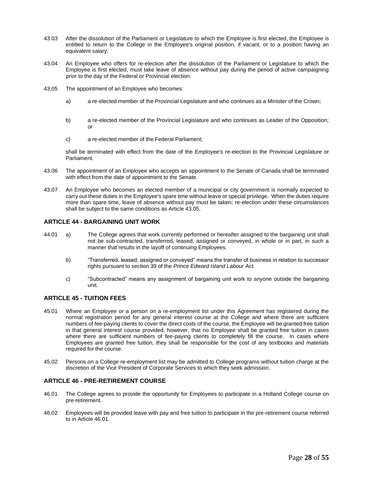- 43.03 After the dissolution of the Parliament or Legislature to which the Employee is first elected, the Employee is entitled to return to the College in the Employee's original position, if vacant, or to a position having an equivalent salary.
- 43.04 An Employee who offers for re-election after the dissolution of the Parliament or Legislature to which the Employee is first elected, must take leave of absence without pay during the period of active campaigning prior to the day of the Federal or Provincial election.
- 43.05 The appointment of an Employee who becomes:
	- a) a re-elected member of the Provincial Legislature and who continues as a Minister of the Crown;
	- b) a re-elected member of the Provincial Legislature and who continues as Leader of the Opposition; or
	- c) a re-elected member of the Federal Parliament;

shall be terminated with effect from the date of the Employee's re-election to the Provincial Legislature or Parliament.

- 43.06 The appointment of an Employee who accepts an appointment to the Senate of Canada shall be terminated with effect from the date of appointment to the Senate.
- 43.07 An Employee who becomes an elected member of a municipal or city government is normally expected to carry out these duties in the Employee's spare time without leave or special privilege. When the duties require more than spare time, leave of absence without pay must be taken; re-election under these circumstances shall be subject to the same conditions as Article 43.05.

#### <span id="page-32-0"></span>**ARTICLE 44 - BARGAINING UNIT WORK**

- 44.01 a) The College agrees that work currently performed or hereafter assigned to the bargaining unit shall not be sub-contracted, transferred, leased, assigned or conveyed, in whole or in part, in such a manner that results in the layoff of continuing Employees.
	- b) "Transferred, leased, assigned or conveyed" means the transfer of business in relation to successor rights pursuant to section 39 of the *Prince Edward Island Labour Act.*
	- c) "Subcontracted" means any assignment of bargaining unit work to anyone outside the bargaining unit.

#### <span id="page-32-1"></span>**ARTICLE 45 - TUITION FEES**

- 45.01 Where an Employee or a person on a re-employment list under this Agreement has registered during the normal registration period for any general interest course at the College and where there are sufficient numbers of fee-paying clients to cover the direct costs of the course, the Employee will be granted free tuition in that general interest course provided, however, that no Employee shall be granted free tuition in cases where there are sufficient numbers of fee-paying clients to completely fill the course. In cases where Employees are granted free tuition, they shall be responsible for the cost of any textbooks and materials required for the course.
- 45.02 Persons on a College re-employment list may be admitted to College programs without tuition charge at the discretion of the Vice President of Corporate Services to which they seek admission.

#### <span id="page-32-2"></span>**ARTICLE 46 - PRE-RETIREMENT COURSE**

- 46.01 The College agrees to provide the opportunity for Employees to participate in a Holland College course on pre-retirement.
- 46.02 Employees will be provided leave with pay and free tuition to participate in the pre-retirement course referred to in Article 46.01.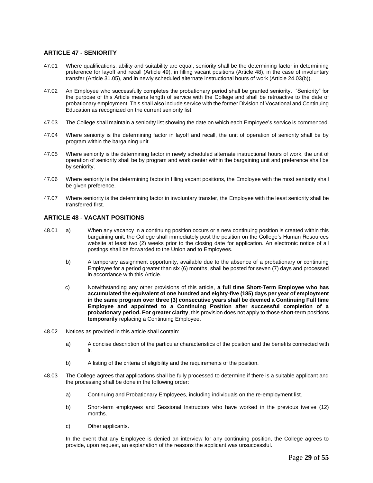#### <span id="page-33-0"></span>**ARTICLE 47 - SENIORITY**

- 47.01 Where qualifications, ability and suitability are equal, seniority shall be the determining factor in determining preference for layoff and recall (Article 49), in filling vacant positions (Article 48), in the case of involuntary transfer (Article 31.05), and in newly scheduled alternate instructional hours of work (Article 24.03(b)).
- 47.02 An Employee who successfully completes the probationary period shall be granted seniority. "Seniority" for the purpose of this Article means length of service with the College and shall be retroactive to the date of probationary employment. This shall also include service with the former Division of Vocational and Continuing Education as recognized on the current seniority list.
- 47.03 The College shall maintain a seniority list showing the date on which each Employee's service is commenced.
- 47.04 Where seniority is the determining factor in layoff and recall, the unit of operation of seniority shall be by program within the bargaining unit.
- 47.05 Where seniority is the determining factor in newly scheduled alternate instructional hours of work, the unit of operation of seniority shall be by program and work center within the bargaining unit and preference shall be by seniority.
- 47.06 Where seniority is the determining factor in filling vacant positions, the Employee with the most seniority shall be given preference.
- 47.07 Where seniority is the determining factor in involuntary transfer, the Employee with the least seniority shall be transferred first.

#### <span id="page-33-1"></span>**ARTICLE 48 - VACANT POSITIONS**

- 48.01 a) When any vacancy in a continuing position occurs or a new continuing position is created within this bargaining unit, the College shall immediately post the position on the College's Human Resources website at least two (2) weeks prior to the closing date for application. An electronic notice of all postings shall be forwarded to the Union and to Employees.
	- b) A temporary assignment opportunity, available due to the absence of a probationary or continuing Employee for a period greater than six (6) months, shall be posted for seven (7) days and processed in accordance with this Article.
	- c) Notwithstanding any other provisions of this article, **a full time Short-Term Employee who has accumulated the equivalent of one hundred and eighty-five (185) days per year of employment in the same program over three (3) consecutive years shall be deemed a Continuing Full time Employee and appointed to a Continuing Position after successful completion of a probationary period. For greater clarity**, this provision does not apply to those short-term positions **temporarily** replacing a Continuing Employee.
- 48.02 Notices as provided in this article shall contain:
	- a) A concise description of the particular characteristics of the position and the benefits connected with it.
	- b) A listing of the criteria of eligibility and the requirements of the position.
- 48.03 The College agrees that applications shall be fully processed to determine if there is a suitable applicant and the processing shall be done in the following order:
	- a) Continuing and Probationary Employees, including individuals on the re-employment list.
	- b) Short-term employees and Sessional Instructors who have worked in the previous twelve (12) months.
	- c) Other applicants.

In the event that any Employee is denied an interview for any continuing position, the College agrees to provide, upon request, an explanation of the reasons the applicant was unsuccessful.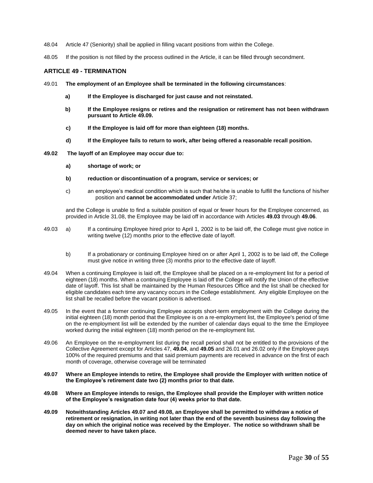- 48.04 Article 47 (Seniority) shall be applied in filling vacant positions from within the College.
- 48.05 If the position is not filled by the process outlined in the Article, it can be filled through secondment.

#### <span id="page-34-0"></span>**ARTICLE 49 - TERMINATION**

- 49.01 **The employment of an Employee shall be terminated in the following circumstances**:
	- **a) If the Employee is discharged for just cause and not reinstated.**
	- **b) If the Employee resigns or retires and the resignation or retirement has not been withdrawn pursuant to Article 49.09.**
	- **c) If the Employee is laid off for more than eighteen (18) months.**
	- **d) If the Employee fails to return to work, after being offered a reasonable recall position.**
- **49.02 The layoff of an Employee may occur due to:**
	- **a) shortage of work; or**
	- **b) reduction or discontinuation of a program, service or services; or**
	- c) an employee's medical condition which is such that he/she is unable to fulfill the functions of his/her position and **cannot be accommodated under** Article 37;

and the College is unable to find a suitable position of equal or fewer hours for the Employee concerned, as provided in Article 31.08, the Employee may be laid off in accordance with Articles **49.03** through **49.06**.

- 49.03 a) If a continuing Employee hired prior to April 1, 2002 is to be laid off, the College must give notice in writing twelve (12) months prior to the effective date of layoff.
	- b) If a probationary or continuing Employee hired on or after April 1, 2002 is to be laid off, the College must give notice in writing three (3) months prior to the effective date of layoff.
- 49.04 When a continuing Employee is laid off, the Employee shall be placed on a re-employment list for a period of eighteen (18) months. When a continuing Employee is laid off the College will notify the Union of the effective date of layoff. This list shall be maintained by the Human Resources Office and the list shall be checked for eligible candidates each time any vacancy occurs in the College establishment. Any eligible Employee on the list shall be recalled before the vacant position is advertised.
- 49.05 In the event that a former continuing Employee accepts short-term employment with the College during the initial eighteen (18) month period that the Employee is on a re-employment list, the Employee's period of time on the re-employment list will be extended by the number of calendar days equal to the time the Employee worked during the initial eighteen (18) month period on the re-employment list.
- 49.06 An Employee on the re-employment list during the recall period shall not be entitled to the provisions of the Collective Agreement except for Articles 47, **49.04**, and **49.05** and 26.01 and 26.02 only if the Employee pays 100% of the required premiums and that said premium payments are received in advance on the first of each month of coverage, otherwise coverage will be terminated
- **49.07 Where an Employee intends to retire, the Employee shall provide the Employer with written notice of the Employee's retirement date two (2) months prior to that date.**
- **49.08 Where an Employee intends to resign, the Employee shall provide the Employer with written notice of the Employee's resignation date four (4) weeks prior to that date.**
- **49.09 Notwithstanding Articles 49.07 and 49.08, an Employee shall be permitted to withdraw a notice of retirement or resignation, in writing not later than the end of the seventh business day following the day on which the original notice was received by the Employer. The notice so withdrawn shall be deemed never to have taken place.**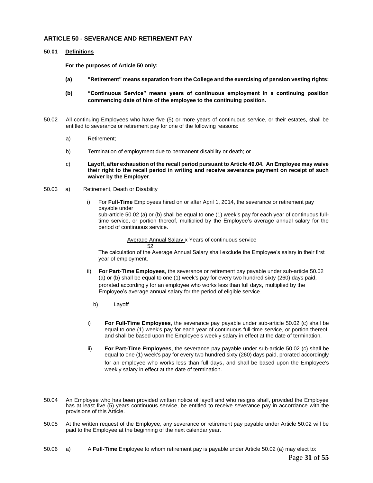#### <span id="page-35-0"></span>**ARTICLE 50 - SEVERANCE AND RETIREMENT PAY**

#### **50**.**01 Definitions**

**For the purposes of Article 50 only:** 

- **(a) "Retirement" means separation from the College and the exercising of pension vesting rights;**
- **(b) "Continuous Service" means years of continuous employment in a continuing position commencing date of hire of the employee to the continuing position.**
- 50.02 All continuing Employees who have five (5) or more years of continuous service, or their estates, shall be entitled to severance or retirement pay for one of the following reasons:
	- a) Retirement;
	- b) Termination of employment due to permanent disability or death; or
	- c) **Layoff, after exhaustion of the recall period pursuant to Article 49.04. An Employee may waive their right to the recall period in writing and receive severance payment on receipt of such waiver by the Employer**.

#### 50.03 a) Retirement, Death or Disability

i) For **Full-Time** Employees hired on or after April 1, 2014, the severance or retirement pay payable under

sub-article 50.02 (a) or (b) shall be equal to one (1) week's pay for each year of continuous fulltime service, or portion thereof, multiplied by the Employee's average annual salary for the period of continuous service.

Average Annual Salary x Years of continuous service 52

The calculation of the Average Annual Salary shall exclude the Employee's salary in their first year of employment.

- ii) **For Part-Time Employees**, the severance or retirement pay payable under sub-article 50.02 (a) or (b) shall be equal to one (1) week's pay for every two hundred sixty (260) days paid, prorated accordingly for an employee who works less than full days, multiplied by the Employee's average annual salary for the period of eligible service.
	- b) Layoff
- i) **For Full-Time Employees**, the severance pay payable under sub-article 50.02 (c) shall be equal to one (1) week's pay for each year of continuous full-time service, or portion thereof, and shall be based upon the Employee's weekly salary in effect at the date of termination.
- ii) **For Part-Time Employees**, the severance pay payable under sub-article 50.02 (c) shall be equal to one (1) week's pay for every two hundred sixty (260) days paid, prorated accordingly for an employee who works less than full days, and shall be based upon the Employee's weekly salary in effect at the date of termination.
- 50.04 An Employee who has been provided written notice of layoff and who resigns shall, provided the Employee has at least five (5) years continuous service, be entitled to receive severance pay in accordance with the provisions of this Article.
- 50.05 At the written request of the Employee, any severance or retirement pay payable under Article 50.02 will be paid to the Employee at the beginning of the next calendar year.
- 50.06 a) A **Full-Time** Employee to whom retirement pay is payable under Article 50.02 (a) may elect to: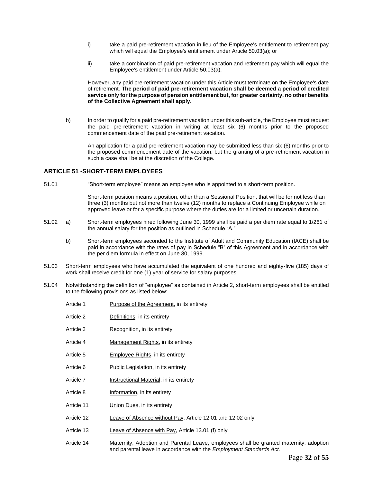- i) take a paid pre-retirement vacation in lieu of the Employee's entitlement to retirement pay which will equal the Employee's entitlement under Article 50.03(a); or
- ii) take a combination of paid pre-retirement vacation and retirement pay which will equal the Employee's entitlement under Article 50.03(a).

However, any paid pre-retirement vacation under this Article must terminate on the Employee's date of retirement. **The period of paid pre-retirement vacation shall be deemed a period of credited service only for the purpose of pension entitlement but, for greater certainty, no other benefits of the Collective Agreement shall apply.**

b) In order to qualify for a paid pre-retirement vacation under this sub-article, the Employee must request the paid pre-retirement vacation in writing at least six (6) months prior to the proposed commencement date of the paid pre-retirement vacation.

An application for a paid pre-retirement vacation may be submitted less than six (6) months prior to the proposed commencement date of the vacation; but the granting of a pre-retirement vacation in such a case shall be at the discretion of the College.

#### <span id="page-36-0"></span>**ARTICLE 51 -SHORT-TERM EMPLOYEES**

51.01 "Short-term employee" means an employee who is appointed to a short-term position.

Short-term position means a position, other than a Sessional Position, that will be for not less than three (3) months but not more than twelve (12) months to replace a Continuing Employee while on approved leave or for a specific purpose where the duties are for a limited or uncertain duration.

- 51.02 a) Short-term employees hired following June 30, 1999 shall be paid a per diem rate equal to 1/261 of the annual salary for the position as outlined in Schedule "A."
	- b) Short-term employees seconded to the Institute of Adult and Community Education (IACE) shall be paid in accordance with the rates of pay in Schedule "B" of this Agreement and in accordance with the per diem formula in effect on June 30, 1999.
- 51.03 Short-term employees who have accumulated the equivalent of one hundred and eighty-five (185) days of work shall receive credit for one (1) year of service for salary purposes.
- 51.04 Notwithstanding the definition of "employee" as contained in Article 2, short-term employees shall be entitled to the following provisions as listed below:

| Article 1  | <b>Purpose of the Agreement, in its entirety</b>           |
|------------|------------------------------------------------------------|
| Article 2  | Definitions, in its entirety                               |
| Article 3  | Recognition, in its entirety                               |
| Article 4  | Management Rights, in its entirety                         |
| Article 5  | Employee Rights, in its entirety                           |
| Article 6  | Public Legislation, in its entirety                        |
| Article 7  | Instructional Material, in its entirety                    |
| Article 8  | Information, in its entirety                               |
| Article 11 | Union Dues, in its entirety                                |
| Article 12 | Leave of Absence without Pay, Article 12.01 and 12.02 only |
| Article 13 | <b>Leave of Absence with Pay, Article 13.01 (f) only</b>   |
| .          |                                                            |

Article 14 Maternity, Adoption and Parental Leave, employees shall be granted maternity, adoption and parental leave in accordance with the *Employment Standards Act.*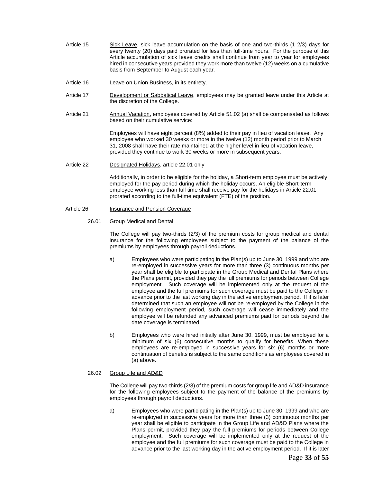- Article 15 Sick Leave, sick leave accumulation on the basis of one and two-thirds (1 2/3) days for every twenty (20) days paid prorated for less than full-time hours. For the purpose of this Article accumulation of sick leave credits shall continue from year to year for employees hired in consecutive years provided they work more than twelve (12) weeks on a cumulative basis from September to August each year.
- Article 16 Leave on Union Business, in its entirety.
- Article 17 Development or Sabbatical Leave, employees may be granted leave under this Article at the discretion of the College.
- Article 21 Annual Vacation, employees covered by Article 51.02 (a) shall be compensated as follows based on their cumulative service:

Employees will have eight percent (8%) added to their pay in lieu of vacation leave. Any employee who worked 30 weeks or more in the twelve (12) month period prior to March 31, 2008 shall have their rate maintained at the higher level in lieu of vacation leave, provided they continue to work 30 weeks or more in subsequent years.

Article 22 Designated Holidays, article 22.01 only

Additionally, in order to be eligible for the holiday, a Short-term employee must be actively employed for the pay period during which the holiday occurs. An eligible Short-term employee working less than full time shall receive pay for the holidays in Article 22.01 prorated according to the full-time equivalent (FTE) of the position.

Article 26 Insurance and Pension Coverage

#### 26.01 Group Medical and Dental

The College will pay two-thirds (2/3) of the premium costs for group medical and dental insurance for the following employees subject to the payment of the balance of the premiums by employees through payroll deductions.

- a) Employees who were participating in the Plan(s) up to June 30, 1999 and who are re-employed in successive years for more than three (3) continuous months per year shall be eligible to participate in the Group Medical and Dental Plans where the Plans permit, provided they pay the full premiums for periods between College employment. Such coverage will be implemented only at the request of the employee and the full premiums for such coverage must be paid to the College in advance prior to the last working day in the active employment period. If it is later determined that such an employee will not be re-employed by the College in the following employment period, such coverage will cease immediately and the employee will be refunded any advanced premiums paid for periods beyond the date coverage is terminated.
- b) Employees who were hired initially after June 30, 1999, must be employed for a minimum of six (6) consecutive months to qualify for benefits. When these employees are re-employed in successive years for six (6) months or more continuation of benefits is subject to the same conditions as employees covered in (a) above.

#### 26.02 Group Life and AD&D

The College will pay two-thirds (2/3) of the premium costs for group life and AD&D insurance for the following employees subject to the payment of the balance of the premiums by employees through payroll deductions.

a) Employees who were participating in the Plan(s) up to June 30, 1999 and who are re-employed in successive years for more than three (3) continuous months per year shall be eligible to participate in the Group Life and AD&D Plans where the Plans permit, provided they pay the full premiums for periods between College employment. Such coverage will be implemented only at the request of the employee and the full premiums for such coverage must be paid to the College in advance prior to the last working day in the active employment period. If it is later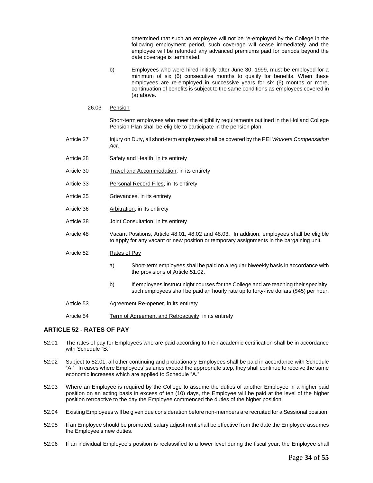determined that such an employee will not be re-employed by the College in the following employment period, such coverage will cease immediately and the employee will be refunded any advanced premiums paid for periods beyond the date coverage is terminated.

- b) Employees who were hired initially after June 30, 1999, must be employed for a minimum of six (6) consecutive months to qualify for benefits. When these employees are re-employed in successive years for six (6) months or more, continuation of benefits is subject to the same conditions as employees covered in (a) above.
- 26.03 Pension

Short-term employees who meet the eligibility requirements outlined in the Holland College Pension Plan shall be eligible to participate in the pension plan.

- Article 27 Injury on Duty, all short-term employees shall be covered by the PEI *Workers Compensation Act*.
- Article 28 Safety and Health, in its entirety
- Article 30 Travel and Accommodation, in its entirety
- Article 33 Personal Record Files, in its entirety
- Article 35 Grievances, in its entirety
- Article 36 Arbitration, in its entirety
- Article 38 **Joint Consultation**, in its entirety
- Article 48 Vacant Positions, Article 48.01, 48.02 and 48.03. In addition, employees shall be eligible to apply for any vacant or new position or temporary assignments in the bargaining unit.
- Article 52 Rates of Pay
	- a) Short-term employees shall be paid on a regular biweekly basis in accordance with the provisions of Article 51.02.
	- b) If employees instruct night courses for the College and are teaching their specialty, such employees shall be paid an hourly rate up to forty**-**five dollars (\$45) per hour.
- Article 53 Agreement Re-opener, in its entirety
- Article 54 Term of Agreement and Retroactivity, in its entirety

#### <span id="page-38-0"></span>**ARTICLE 52 - RATES OF PAY**

- 52.01 The rates of pay for Employees who are paid according to their academic certification shall be in accordance with Schedule "B."
- 52.02 Subject to 52.01, all other continuing and probationary Employees shall be paid in accordance with Schedule "A." In cases where Employees' salaries exceed the appropriate step, they shall continue to receive the same economic increases which are applied to Schedule "A."
- 52.03 Where an Employee is required by the College to assume the duties of another Employee in a higher paid position on an acting basis in excess of ten (10) days, the Employee will be paid at the level of the higher position retroactive to the day the Employee commenced the duties of the higher position.
- 52.04 Existing Employees will be given due consideration before non-members are recruited for a Sessional position.
- 52.05 If an Employee should be promoted, salary adjustment shall be effective from the date the Employee assumes the Employee's new duties.
- 52.06 If an individual Employee's position is reclassified to a lower level during the fiscal year, the Employee shall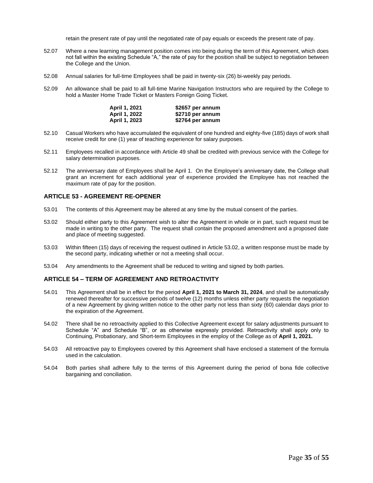retain the present rate of pay until the negotiated rate of pay equals or exceeds the present rate of pay.

- 52.07 Where a new learning management position comes into being during the term of this Agreement, which does not fall within the existing Schedule "A," the rate of pay for the position shall be subject to negotiation between the College and the Union.
- 52.08 Annual salaries for full-time Employees shall be paid in twenty-six (26) bi-weekly pay periods.
- 52.09 An allowance shall be paid to all full-time Marine Navigation Instructors who are required by the College to hold a Master Home Trade Ticket or Masters Foreign Going Ticket.

| April 1, 2021 | \$2657 per annum |
|---------------|------------------|
| April 1, 2022 | \$2710 per annum |
| April 1, 2023 | \$2764 per annum |

- 52.10 Casual Workers who have accumulated the equivalent of one hundred and eighty-five (185) days of work shall receive credit for one (1) year of teaching experience for salary purposes.
- 52.11 Employees recalled in accordance with Article 49 shall be credited with previous service with the College for salary determination purposes.
- 52.12 The anniversary date of Employees shall be April 1. On the Employee's anniversary date, the College shall grant an increment for each additional year of experience provided the Employee has not reached the maximum rate of pay for the position.

#### <span id="page-39-0"></span>**ARTICLE 53 - AGREEMENT RE-OPENER**

- 53.01 The contents of this Agreement may be altered at any time by the mutual consent of the parties.
- 53.02 Should either party to this Agreement wish to alter the Agreement in whole or in part, such request must be made in writing to the other party. The request shall contain the proposed amendment and a proposed date and place of meeting suggested.
- 53.03 Within fifteen (15) days of receiving the request outlined in Article 53.02, a written response must be made by the second party, indicating whether or not a meeting shall occur.
- 53.04 Any amendments to the Agreement shall be reduced to writing and signed by both parties.

#### <span id="page-39-1"></span>**ARTICLE 54 – TERM OF AGREEMENT AND RETROACTIVITY**

- 54.01 This Agreement shall be in effect for the period **April 1, 2021 to March 31, 2024**, and shall be automatically renewed thereafter for successive periods of twelve (12) months unless either party requests the negotiation of a new Agreement by giving written notice to the other party not less than sixty (60) calendar days prior to the expiration of the Agreement.
- 54.02 There shall be no retroactivity applied to this Collective Agreement except for salary adjustments pursuant to Schedule "A" and Schedule "B", or as otherwise expressly provided. Retroactivity shall apply only to Continuing, Probationary, and Short-term Employees in the employ of the College as of **April 1, 2021.**
- 54.03 All retroactive pay to Employees covered by this Agreement shall have enclosed a statement of the formula used in the calculation.
- 54.04 Both parties shall adhere fully to the terms of this Agreement during the period of bona fide collective bargaining and conciliation.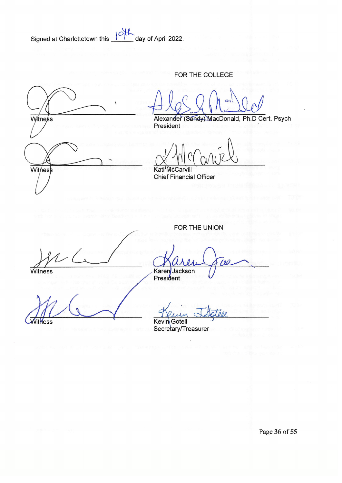Signed at Charlottetown this 19th

day of April 2022.

## FOR THE COLLEGE

Witness Witness

Alexander

(Sandy) MacDonald, Ph.D Cert. Psych President

Kati'McCarvill

**Chief Financial Officer** 

FOR THE UNION

Witness

Karen Jackson<br>President

VitHess

Kevin Gotell

Secretary/Treasurer

Page 36 of 55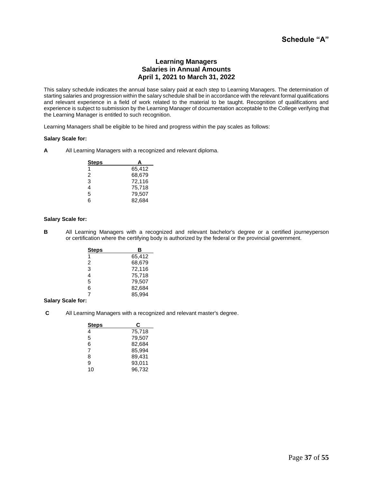## **Schedule "A"**

#### **Learning Managers Salaries in Annual Amounts April 1, 2021 to March 31, 2022**

This salary schedule indicates the annual base salary paid at each step to Learning Managers. The determination of starting salaries and progression within the salary schedule shall be in accordance with the relevant formal qualifications and relevant experience in a field of work related to the material to be taught. Recognition of qualifications and experience is subject to submission by the Learning Manager of documentation acceptable to the College verifying that the Learning Manager is entitled to such recognition.

Learning Managers shall be eligible to be hired and progress within the pay scales as follows:

#### **Salary Scale for:**

**A** All Learning Managers with a recognized and relevant diploma.

| Steps | А      |
|-------|--------|
| 1     | 65,412 |
| 2     | 68,679 |
| 3     | 72,116 |
| 4     | 75,718 |
| 5     | 79,507 |
| ี่ค   | 82,684 |

#### **Salary Scale for:**

**B** All Learning Managers with a recognized and relevant bachelor's degree or a certified journeyperson or certification where the certifying body is authorized by the federal or the provincial government.

| <b>Steps</b> | в      |
|--------------|--------|
| 1            | 65,412 |
| 2            | 68,679 |
| 3            | 72,116 |
| 4            | 75,718 |
| 5            | 79,507 |
| 6            | 82,684 |
| 7            | 85,994 |

#### **Salary Scale for:**

**C** All Learning Managers with a recognized and relevant master's degree.

| <b>Steps</b> | С      |
|--------------|--------|
| 4            | 75,718 |
| 5            | 79,507 |
| 6            | 82,684 |
| 7            | 85,994 |
| 8            | 89,431 |
| 9            | 93,011 |
| 10           | 96,732 |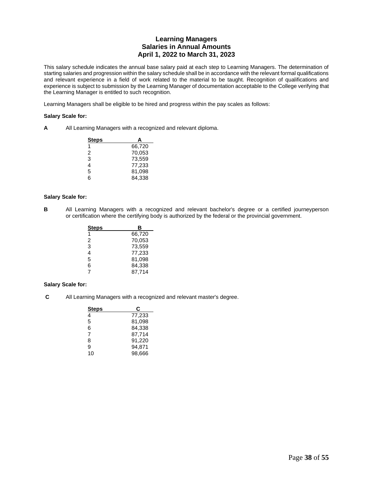## **Learning Managers Salaries in Annual Amounts April 1, 2022 to March 31, 2023**

This salary schedule indicates the annual base salary paid at each step to Learning Managers. The determination of starting salaries and progression within the salary schedule shall be in accordance with the relevant formal qualifications and relevant experience in a field of work related to the material to be taught. Recognition of qualifications and experience is subject to submission by the Learning Manager of documentation acceptable to the College verifying that the Learning Manager is entitled to such recognition.

Learning Managers shall be eligible to be hired and progress within the pay scales as follows:

#### **Salary Scale for:**

**A** All Learning Managers with a recognized and relevant diploma.

| <b>Steps</b> | А      |
|--------------|--------|
| 1            | 66,720 |
| 2            | 70,053 |
| 3            | 73,559 |
| 4            | 77,233 |
| 5            | 81,098 |
| հ            | 84.338 |

#### **Salary Scale for:**

**B** All Learning Managers with a recognized and relevant bachelor's degree or a certified journeyperson or certification where the certifying body is authorized by the federal or the provincial government.

| <b>Steps</b> | в      |
|--------------|--------|
| 1            | 66,720 |
| 2            | 70,053 |
| 3            | 73,559 |
| 4            | 77,233 |
| 5            | 81,098 |
| 6            | 84,338 |
| 7            | 87.714 |

#### **Salary Scale for:**

**C** All Learning Managers with a recognized and relevant master's degree.

| <b>Steps</b> | С      |
|--------------|--------|
| 4            | 77,233 |
| 5            | 81,098 |
| 6            | 84,338 |
| 7            | 87,714 |
| 8            | 91,220 |
| 9            | 94,871 |
| 10           | 98,666 |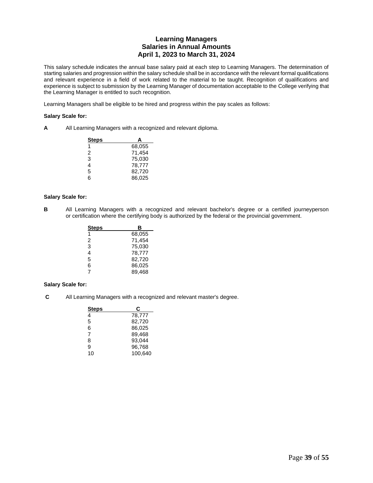## **Learning Managers Salaries in Annual Amounts April 1, 2023 to March 31, 2024**

This salary schedule indicates the annual base salary paid at each step to Learning Managers. The determination of starting salaries and progression within the salary schedule shall be in accordance with the relevant formal qualifications and relevant experience in a field of work related to the material to be taught. Recognition of qualifications and experience is subject to submission by the Learning Manager of documentation acceptable to the College verifying that the Learning Manager is entitled to such recognition.

Learning Managers shall be eligible to be hired and progress within the pay scales as follows:

#### **Salary Scale for:**

**A** All Learning Managers with a recognized and relevant diploma.

| <b>Steps</b> | А      |
|--------------|--------|
| 1            | 68,055 |
| 2            | 71,454 |
| 3            | 75,030 |
| 4            | 78,777 |
| 5            | 82,720 |
| հ            | 86,025 |

#### **Salary Scale for:**

**B** All Learning Managers with a recognized and relevant bachelor's degree or a certified journeyperson or certification where the certifying body is authorized by the federal or the provincial government.

| Steps | в      |
|-------|--------|
| 1     | 68,055 |
| 2     | 71,454 |
| 3     | 75,030 |
| 4     | 78,777 |
| 5     | 82,720 |
| 6     | 86,025 |
| 7     | 89.468 |

#### **Salary Scale for:**

**C** All Learning Managers with a recognized and relevant master's degree.

| Steps | С       |
|-------|---------|
| 4     | 78,777  |
| 5     | 82,720  |
| 6     | 86,025  |
| 7     | 89,468  |
| 8     | 93,044  |
| 9     | 96,768  |
| 10    | 100,640 |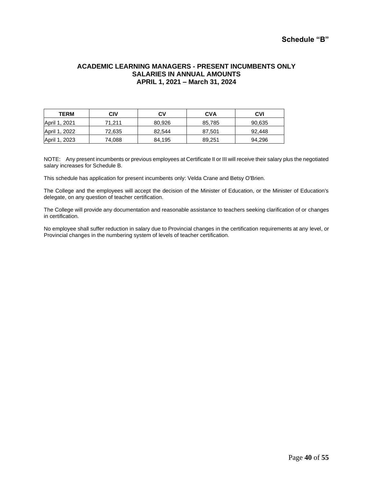## **ACADEMIC LEARNING MANAGERS - PRESENT INCUMBENTS ONLY SALARIES IN ANNUAL AMOUNTS APRIL 1, 2021 – March 31, 2024**

| <b>TERM</b>   | CIV    | C٧     | CVA    | <b>CVI</b> |
|---------------|--------|--------|--------|------------|
| April 1, 2021 | 71.211 | 80.926 | 85,785 | 90,635     |
| April 1, 2022 | 72,635 | 82,544 | 87,501 | 92,448     |
| April 1, 2023 | 74,088 | 84,195 | 89,251 | 94,296     |

NOTE: Any present incumbents or previous employees at Certificate II or III will receive their salary plus the negotiated salary increases for Schedule B.

This schedule has application for present incumbents only: Velda Crane and Betsy O'Brien.

The College and the employees will accept the decision of the Minister of Education, or the Minister of Education's delegate, on any question of teacher certification.

The College will provide any documentation and reasonable assistance to teachers seeking clarification of or changes in certification.

No employee shall suffer reduction in salary due to Provincial changes in the certification requirements at any level, or Provincial changes in the numbering system of levels of teacher certification.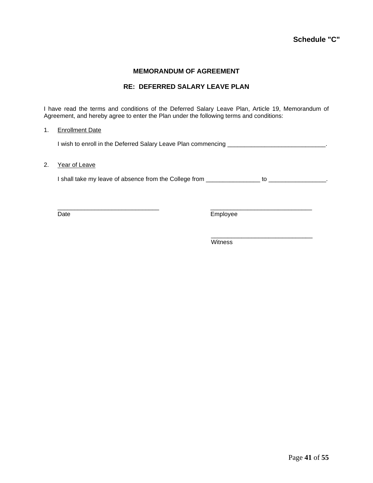## **MEMORANDUM OF AGREEMENT**

## **RE: DEFERRED SALARY LEAVE PLAN**

I have read the terms and conditions of the Deferred Salary Leave Plan, Article 19, Memorandum of Agreement, and hereby agree to enter the Plan under the following terms and conditions:

#### 1. Enrollment Date

I wish to enroll in the Deferred Salary Leave Plan commencing \_\_\_\_\_\_\_\_\_\_\_\_\_\_\_\_\_\_\_\_\_\_\_\_\_\_\_\_\_\_.

#### 2. Year of Leave

I shall take my leave of absence from the College from \_\_\_\_\_\_\_\_\_\_\_\_\_\_\_\_ to \_\_\_\_\_\_\_\_\_\_\_\_\_\_\_\_\_.

\_\_\_\_\_\_\_\_\_\_\_\_\_\_\_\_\_\_\_\_\_\_\_\_\_\_\_\_\_\_ \_\_\_\_\_\_\_\_\_\_\_\_\_\_\_\_\_\_\_\_\_\_\_\_\_\_\_\_\_\_ Date Employee

\_\_\_\_\_\_\_\_\_\_\_\_\_\_\_\_\_\_\_\_\_\_\_\_\_\_\_\_\_\_

**Witness**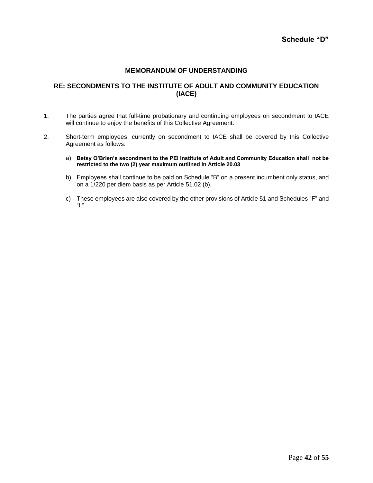## **MEMORANDUM OF UNDERSTANDING**

## **RE: SECONDMENTS TO THE INSTITUTE OF ADULT AND COMMUNITY EDUCATION (IACE)**

- 1. The parties agree that full-time probationary and continuing employees on secondment to IACE will continue to enjoy the benefits of this Collective Agreement.
- 2. Short-term employees, currently on secondment to IACE shall be covered by this Collective Agreement as follows:
	- a) **Betsy O'Brien's secondment to the PEI Institute of Adult and Community Education shall not be restricted to the two (2) year maximum outlined in Article 20.03**
	- b) Employees shall continue to be paid on Schedule "B" on a present incumbent only status, and on a 1/220 per diem basis as per Article 51.02 (b).
	- c) These employees are also covered by the other provisions of Article 51 and Schedules "F" and "I."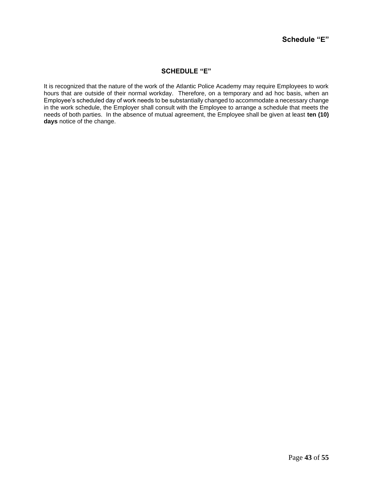## **SCHEDULE "E"**

It is recognized that the nature of the work of the Atlantic Police Academy may require Employees to work hours that are outside of their normal workday. Therefore, on a temporary and ad hoc basis, when an Employee's scheduled day of work needs to be substantially changed to accommodate a necessary change in the work schedule, the Employer shall consult with the Employee to arrange a schedule that meets the needs of both parties. In the absence of mutual agreement, the Employee shall be given at least **ten (10) days** notice of the change.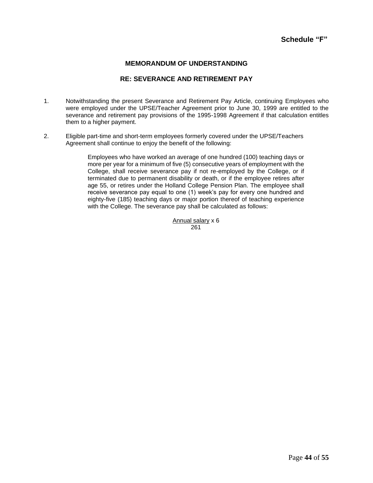## **MEMORANDUM OF UNDERSTANDING**

## **RE: SEVERANCE AND RETIREMENT PAY**

- 1. Notwithstanding the present Severance and Retirement Pay Article, continuing Employees who were employed under the UPSE/Teacher Agreement prior to June 30, 1999 are entitled to the severance and retirement pay provisions of the 1995-1998 Agreement if that calculation entitles them to a higher payment.
- 2. Eligible part-time and short-term employees formerly covered under the UPSE/Teachers Agreement shall continue to enjoy the benefit of the following:

Employees who have worked an average of one hundred (100) teaching days or more per year for a minimum of five (5) consecutive years of employment with the College, shall receive severance pay if not re-employed by the College, or if terminated due to permanent disability or death, or if the employee retires after age 55, or retires under the Holland College Pension Plan. The employee shall receive severance pay equal to one (1) week's pay for every one hundred and eighty-five (185) teaching days or major portion thereof of teaching experience with the College. The severance pay shall be calculated as follows:

> Annual salary x 6 261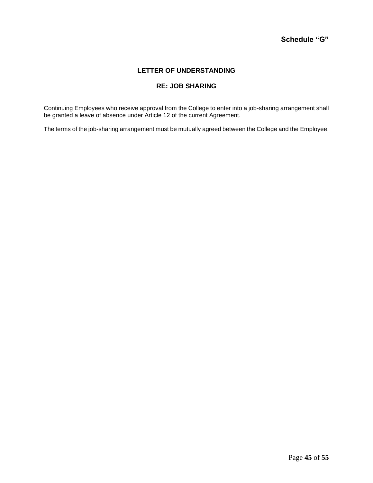## **LETTER OF UNDERSTANDING**

## **RE: JOB SHARING**

Continuing Employees who receive approval from the College to enter into a job-sharing arrangement shall be granted a leave of absence under Article 12 of the current Agreement.

The terms of the job-sharing arrangement must be mutually agreed between the College and the Employee.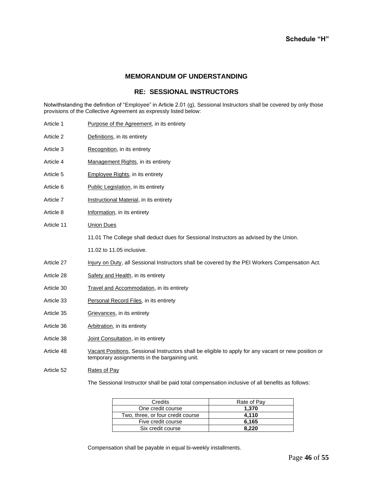#### **MEMORANDUM OF UNDERSTANDING**

## **RE: SESSIONAL INSTRUCTORS**

Notwithstanding the definition of "Employee" in Article 2.01 (g), Sessional Instructors shall be covered by only those provisions of the Collective Agreement as expressly listed below:

| Article 1  | <b>Purpose of the Agreement, in its entirety</b>                                                                                                      |
|------------|-------------------------------------------------------------------------------------------------------------------------------------------------------|
| Article 2  | Definitions, in its entirety                                                                                                                          |
| Article 3  | Recognition, in its entirety                                                                                                                          |
| Article 4  | Management Rights, in its entirety                                                                                                                    |
| Article 5  | <b>Employee Rights, in its entirety</b>                                                                                                               |
| Article 6  | Public Legislation, in its entirety                                                                                                                   |
| Article 7  | <b>Instructional Material</b> , in its entirety                                                                                                       |
| Article 8  | Information, in its entirety                                                                                                                          |
| Article 11 | <b>Union Dues</b>                                                                                                                                     |
|            | 11.01 The College shall deduct dues for Sessional Instructors as advised by the Union.                                                                |
|            | 11.02 to 11.05 inclusive.                                                                                                                             |
| Article 27 | Injury on Duty, all Sessional Instructors shall be covered by the PEI Workers Compensation Act.                                                       |
| Article 28 | Safety and Health, in its entirety                                                                                                                    |
| Article 30 | Travel and Accommodation, in its entirety                                                                                                             |
| Article 33 | Personal Record Files, in its entirety                                                                                                                |
| Article 35 | Grievances, in its entirety                                                                                                                           |
| Article 36 | Arbitration, in its entirety                                                                                                                          |
| Article 38 | Joint Consultation, in its entirety                                                                                                                   |
| Article 48 | Vacant Positions, Sessional Instructors shall be eligible to apply for any vacant or new position or<br>temporary assignments in the bargaining unit. |
| Article 52 | <b>Rates of Pay</b>                                                                                                                                   |

The Sessional Instructor shall be paid total compensation inclusive of all benefits as follows:

| Credits                           | Rate of Pay |
|-----------------------------------|-------------|
| One credit course                 | 1.370       |
| Two, three, or four credit course | 4.110       |
| Five credit course                | 6.165       |
| Six credit course                 | 8.220       |

Compensation shall be payable in equal bi-weekly installments.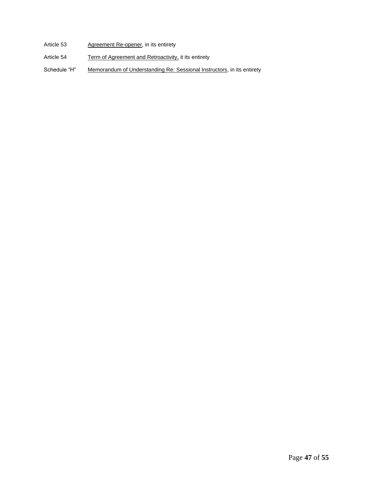- Article 53 Agreement Re-opener, in its entirety
- Article 54 Term of Agreement and Retroactivity, it its entirety
- Schedule "H" Memorandum of Understanding Re: Sessional Instructors, in its entirety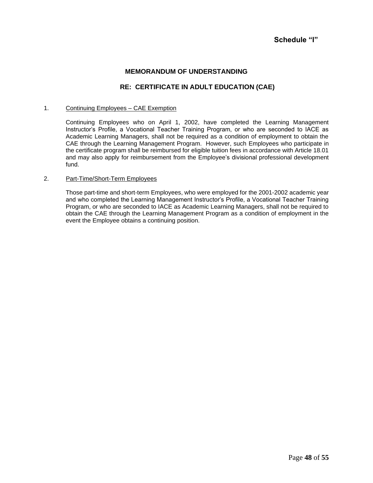## **MEMORANDUM OF UNDERSTANDING**

## **RE: CERTIFICATE IN ADULT EDUCATION (CAE)**

#### 1. Continuing Employees – CAE Exemption

Continuing Employees who on April 1, 2002, have completed the Learning Management Instructor's Profile, a Vocational Teacher Training Program, or who are seconded to IACE as Academic Learning Managers, shall not be required as a condition of employment to obtain the CAE through the Learning Management Program. However, such Employees who participate in the certificate program shall be reimbursed for eligible tuition fees in accordance with Article 18.01 and may also apply for reimbursement from the Employee's divisional professional development fund.

#### 2. Part-Time/Short-Term Employees

Those part-time and short-term Employees, who were employed for the 2001-2002 academic year and who completed the Learning Management Instructor's Profile, a Vocational Teacher Training Program, or who are seconded to IACE as Academic Learning Managers, shall not be required to obtain the CAE through the Learning Management Program as a condition of employment in the event the Employee obtains a continuing position.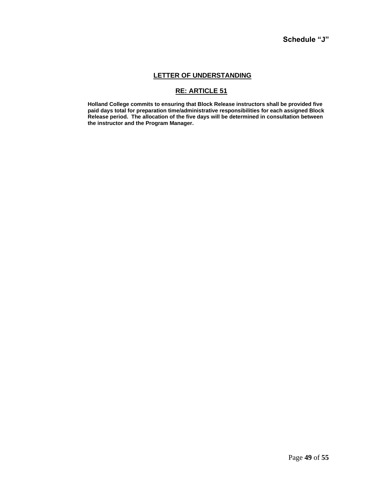## **LETTER OF UNDERSTANDING**

## **RE: ARTICLE 51**

**Holland College commits to ensuring that Block Release instructors shall be provided five paid days total for preparation time/administrative responsibilities for each assigned Block Release period. The allocation of the five days will be determined in consultation between the instructor and the Program Manager.**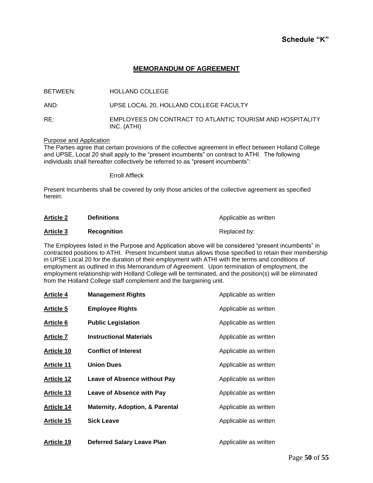## **MEMORANDUM OF AGREEMENT**

| BETWEEN: | <b>HOLLAND COLLEGE</b>                                                   |
|----------|--------------------------------------------------------------------------|
| AND:     | UPSE LOCAL 20, HOLLAND COLLEGE FACULTY                                   |
| RE:      | EMPLOYEES ON CONTRACT TO ATLANTIC TOURISM AND HOSPITALITY<br>INC. (ATHI) |

#### Purpose and Application

The Parties agree that certain provisions of the collective agreement in effect between Holland College and UPSE, Local 20 shall apply to the "present incumbents" on contract to ATHI. The following individuals shall hereafter collectively be referred to as "present incumbents":

#### Erroll Affleck

Present Incumbents shall be covered by only those articles of the collective agreement as specified herein:

| <b>Article 2</b> | <b>Definitions</b> | Applicable as written |
|------------------|--------------------|-----------------------|
| <b>Article 3</b> | <b>Recognition</b> | Replaced by:          |

The Employees listed in the Purpose and Application above will be considered "present incumbents" in contracted positions to ATHI. Present Incumbent status allows those specified to retain their membership in UPSE Local 20 for the duration of their employment with ATHI with the terms and conditions of employment as outlined in this Memorandum of Agreement. Upon termination of employment, the employment relationship with Holland College will be terminated, and the position(s) will be eliminated from the Holland College staff complement and the bargaining unit.

| <b>Article 4</b>  | <b>Management Rights</b>                   | Applicable as written |
|-------------------|--------------------------------------------|-----------------------|
| <b>Article 5</b>  | <b>Employee Rights</b>                     | Applicable as written |
| <b>Article 6</b>  | <b>Public Legislation</b>                  | Applicable as written |
| <b>Article 7</b>  | <b>Instructional Materials</b>             | Applicable as written |
| <b>Article 10</b> | <b>Conflict of Interest</b>                | Applicable as written |
| <b>Article 11</b> | <b>Union Dues</b>                          | Applicable as written |
| <b>Article 12</b> | <b>Leave of Absence without Pay</b>        | Applicable as written |
| <b>Article 13</b> | <b>Leave of Absence with Pay</b>           | Applicable as written |
| <b>Article 14</b> | <b>Maternity, Adoption, &amp; Parental</b> | Applicable as written |
| <b>Article 15</b> | <b>Sick Leave</b>                          | Applicable as written |
| <b>Article 19</b> | <b>Deferred Salary Leave Plan</b>          | Applicable as written |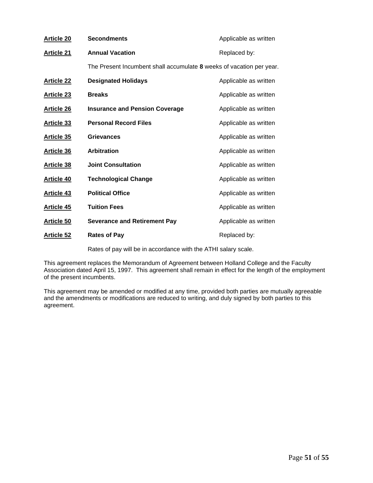| <b>Article 20</b> | <b>Secondments</b>                                                   | Applicable as written |
|-------------------|----------------------------------------------------------------------|-----------------------|
| <b>Article 21</b> | <b>Annual Vacation</b>                                               | Replaced by:          |
|                   | The Present Incumbent shall accumulate 8 weeks of vacation per year. |                       |
| <b>Article 22</b> | <b>Designated Holidays</b>                                           | Applicable as written |
| <b>Article 23</b> | <b>Breaks</b>                                                        | Applicable as written |
| <b>Article 26</b> | <b>Insurance and Pension Coverage</b>                                | Applicable as written |
| <b>Article 33</b> | <b>Personal Record Files</b>                                         | Applicable as written |
| <b>Article 35</b> | <b>Grievances</b>                                                    | Applicable as written |
| <b>Article 36</b> | Arbitration                                                          | Applicable as written |
| <b>Article 38</b> | <b>Joint Consultation</b>                                            | Applicable as written |
| <b>Article 40</b> | <b>Technological Change</b>                                          | Applicable as written |
| <b>Article 43</b> | <b>Political Office</b>                                              | Applicable as written |
| <b>Article 45</b> | <b>Tuition Fees</b>                                                  | Applicable as written |
| <b>Article 50</b> | <b>Severance and Retirement Pay</b>                                  | Applicable as written |
| <b>Article 52</b> | <b>Rates of Pay</b>                                                  | Replaced by:          |
|                   |                                                                      |                       |

Rates of pay will be in accordance with the ATHI salary scale.

This agreement replaces the Memorandum of Agreement between Holland College and the Faculty Association dated April 15, 1997. This agreement shall remain in effect for the length of the employment of the present incumbents.

This agreement may be amended or modified at any time, provided both parties are mutually agreeable and the amendments or modifications are reduced to writing, and duly signed by both parties to this agreement.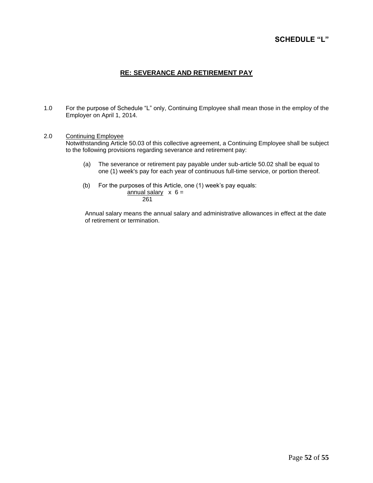## **SCHEDULE "L"**

## **RE: SEVERANCE AND RETIREMENT PAY**

1.0 For the purpose of Schedule "L" only, Continuing Employee shall mean those in the employ of the Employer on April 1, 2014.

#### 2.0 Continuing Employee

Notwithstanding Article 50.03 of this collective agreement, a Continuing Employee shall be subject to the following provisions regarding severance and retirement pay:

- (a) The severance or retirement pay payable under sub-article 50.02 shall be equal to one (1) week's pay for each year of continuous full-time service, or portion thereof.
- (b) For the purposes of this Article, one (1) week's pay equals:

 $\frac{1}{2}$ annual salary  $\times$  6 = 261

Annual salary means the annual salary and administrative allowances in effect at the date of retirement or termination.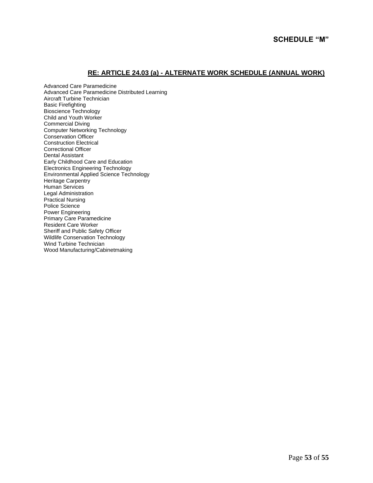## **RE: ARTICLE 24.03 (a) - ALTERNATE WORK SCHEDULE (ANNUAL WORK)**

Advanced Care Paramedicine Advanced Care Paramedicine Distributed Learning Aircraft Turbine Technician Basic Firefighting Bioscience Technology Child and Youth Worker Commercial Diving Computer Networking Technology Conservation Officer Construction Electrical Correctional Officer Dental Assistant Early Childhood Care and Education Electronics Engineering Technology Environmental Applied Science Technology Heritage Carpentry Human Services Legal Administration Practical Nursing Police Science Power Engineering Primary Care Paramedicine Resident Care Worker Sheriff and Public Safety Officer Wildlife Conservation Technology Wind Turbine Technician Wood Manufacturing/Cabinetmaking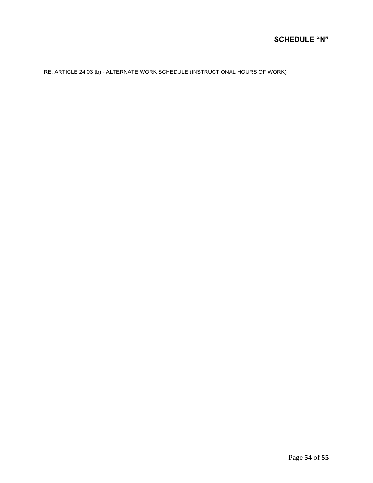## **SCHEDULE "N"**

RE: ARTICLE 24.03 (b) - ALTERNATE WORK SCHEDULE (INSTRUCTIONAL HOURS OF WORK)